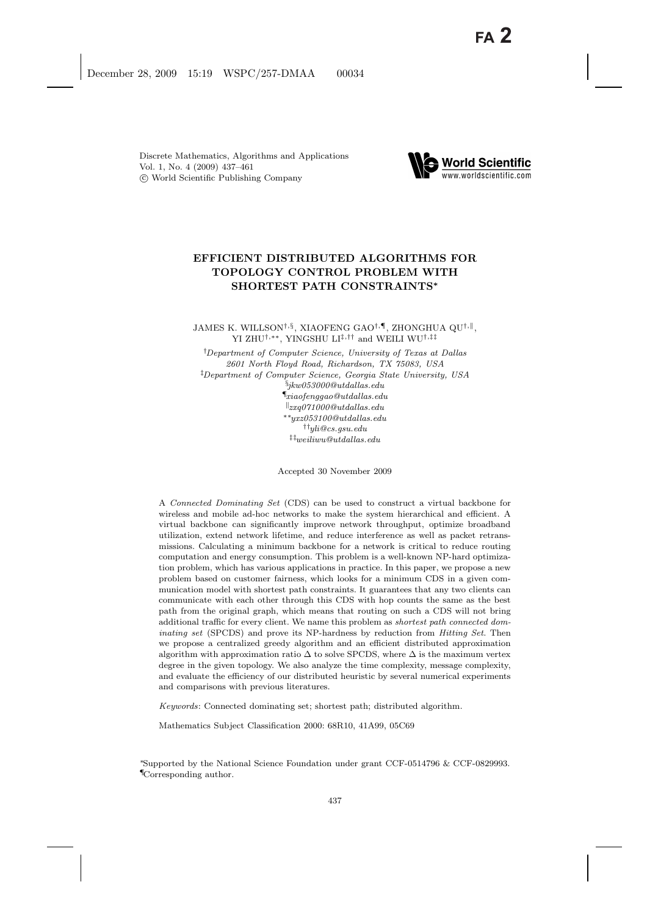

# **EFFICIENT DISTRIBUTED ALGORITHMS FOR TOPOLOGY CONTROL PROBLEM WITH SHORTEST PATH CONSTRAINTS***∗*

JAMES K. WILLSON†*,*§, XIAOFENG GAO†*,*¶, ZHONGHUA QU†*,*, YI ZHU†*,*∗∗, YINGSHU LI‡*,*†† and WEILI WU†*,*‡‡

† Department of Computer Science, University of Texas at Dallas 2601 North Floyd Road, Richardson, TX 75083, USA ‡ Department of Computer Science, Georgia State University, USA § jkw053000@utdallas.edu  $\P_{xi}$ iaofenggao@utdallas.edu  $\parallel$ <sub>zxq0</sub>71000@utdallas.edu ∗∗yxz053100@utdallas.edu  $\dagger \dagger$ yli@cs.gsu.edu ‡‡weiliwu@utdallas.edu

Accepted 30 November 2009

A Connected Dominating Set (CDS) can be used to construct a virtual backbone for wireless and mobile ad-hoc networks to make the system hierarchical and efficient. A virtual backbone can significantly improve network throughput, optimize broadband utilization, extend network lifetime, and reduce interference as well as packet retransmissions. Calculating a minimum backbone for a network is critical to reduce routing computation and energy consumption. This problem is a well-known NP-hard optimization problem, which has various applications in practice. In this paper, we propose a new problem based on customer fairness, which looks for a minimum CDS in a given communication model with shortest path constraints. It guarantees that any two clients can communicate with each other through this CDS with hop counts the same as the best path from the original graph, which means that routing on such a CDS will not bring additional traffic for every client. We name this problem as shortest path connected dominating set (SPCDS) and prove its NP-hardness by reduction from *Hitting Set*. Then we propose a centralized greedy algorithm and an efficient distributed approximation algorithm with approximation ratio  $\Delta$  to solve SPCDS, where  $\Delta$  is the maximum vertex degree in the given topology. We also analyze the time complexity, message complexity, and evaluate the efficiency of our distributed heuristic by several numerical experiments and comparisons with previous literatures.

Keywords: Connected dominating set; shortest path; distributed algorithm.

Mathematics Subject Classification 2000: 68R10, 41A99, 05C69

∗ Supported by the National Science Foundation under grant CCF-0514796 & CCF-0829993. ¶Corresponding author.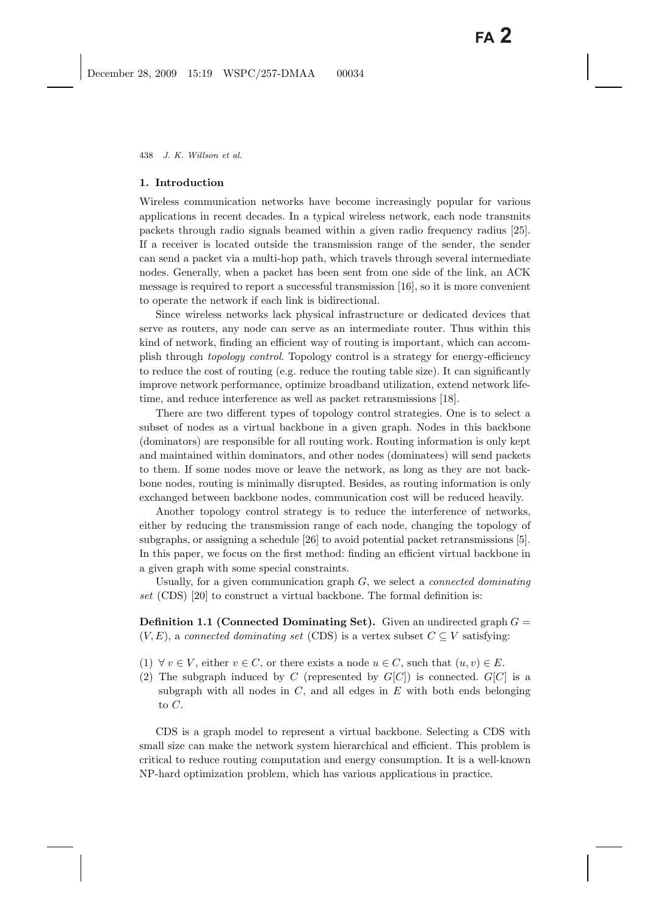#### **1. Introduction**

Wireless communication networks have become increasingly popular for various applications in recent decades. In a typical wireless network, each node transmits packets through radio signals beamed within a given radio frequency radius [25]. If a receiver is located outside the transmission range of the sender, the sender can send a packet via a multi-hop path, which travels through several intermediate nodes. Generally, when a packet has been sent from one side of the link, an ACK message is required to report a successful transmission [16], so it is more convenient to operate the network if each link is bidirectional.

Since wireless networks lack physical infrastructure or dedicated devices that serve as routers, any node can serve as an intermediate router. Thus within this kind of network, finding an efficient way of routing is important, which can accomplish through *topology control*. Topology control is a strategy for energy-efficiency to reduce the cost of routing (e.g. reduce the routing table size). It can significantly improve network performance, optimize broadband utilization, extend network lifetime, and reduce interference as well as packet retransmissions [18].

There are two different types of topology control strategies. One is to select a subset of nodes as a virtual backbone in a given graph. Nodes in this backbone (dominators) are responsible for all routing work. Routing information is only kept and maintained within dominators, and other nodes (dominatees) will send packets to them. If some nodes move or leave the network, as long as they are not backbone nodes, routing is minimally disrupted. Besides, as routing information is only exchanged between backbone nodes, communication cost will be reduced heavily.

Another topology control strategy is to reduce the interference of networks, either by reducing the transmission range of each node, changing the topology of subgraphs, or assigning a schedule [26] to avoid potential packet retransmissions [5]. In this paper, we focus on the first method: finding an efficient virtual backbone in a given graph with some special constraints.

Usually, for a given communication graph G, we select a *connected dominating set* (CDS) [20] to construct a virtual backbone. The formal definition is:

**Definition 1.1 (Connected Dominating Set).** Given an undirected graph  $G =$  $(V, E)$ , a *connected dominating set* (CDS) is a vertex subset  $C \subseteq V$  satisfying:

- (1)  $\forall v \in V$ , either  $v \in C$ , or there exists a node  $u \in C$ , such that  $(u, v) \in E$ .
- (2) The subgraph induced by C (represented by  $G[C]$ ) is connected.  $G[C]$  is a subgraph with all nodes in  $C$ , and all edges in  $E$  with both ends belonging to  $C$ .

CDS is a graph model to represent a virtual backbone. Selecting a CDS with small size can make the network system hierarchical and efficient. This problem is critical to reduce routing computation and energy consumption. It is a well-known NP-hard optimization problem, which has various applications in practice.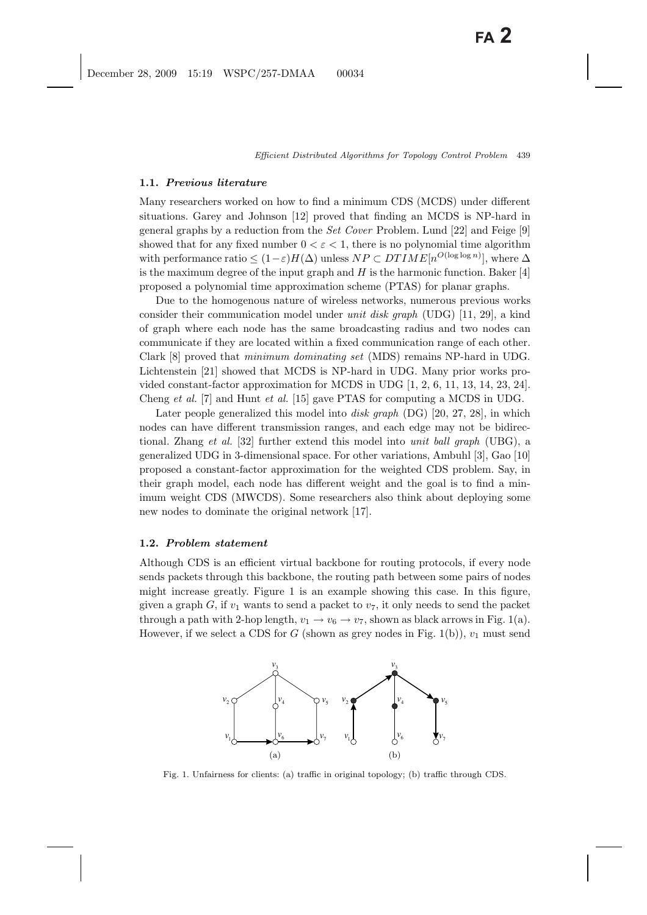#### **1.1.** *Previous literature*

Many researchers worked on how to find a minimum CDS (MCDS) under different situations. Garey and Johnson [12] proved that finding an MCDS is NP-hard in general graphs by a reduction from the *Set Cover* Problem. Lund [22] and Feige [9] showed that for any fixed number  $0 < \varepsilon < 1$ , there is no polynomial time algorithm with performance ratio  $\leq (1-\varepsilon)H(\Delta)$  unless  $NP \subset DTIME[n^{O(\log \log n)}],$  where  $\Delta$ is the maximum degree of the input graph and  $H$  is the harmonic function. Baker [4] proposed a polynomial time approximation scheme (PTAS) for planar graphs.

Due to the homogenous nature of wireless networks, numerous previous works consider their communication model under *unit disk graph* (UDG) [11, 29], a kind of graph where each node has the same broadcasting radius and two nodes can communicate if they are located within a fixed communication range of each other. Clark [8] proved that *minimum dominating set* (MDS) remains NP-hard in UDG. Lichtenstein [21] showed that MCDS is NP-hard in UDG. Many prior works provided constant-factor approximation for MCDS in UDG [1, 2, 6, 11, 13, 14, 23, 24]. Cheng *et al.* [7] and Hunt *et al.* [15] gave PTAS for computing a MCDS in UDG.

Later people generalized this model into *disk graph* (DG) [20, 27, 28], in which nodes can have different transmission ranges, and each edge may not be bidirectional. Zhang *et al.* [32] further extend this model into *unit ball graph* (UBG), a generalized UDG in 3-dimensional space. For other variations, Ambuhl [3], Gao [10] proposed a constant-factor approximation for the weighted CDS problem. Say, in their graph model, each node has different weight and the goal is to find a minimum weight CDS (MWCDS). Some researchers also think about deploying some new nodes to dominate the original network [17].

### **1.2.** *Problem statement*

Although CDS is an efficient virtual backbone for routing protocols, if every node sends packets through this backbone, the routing path between some pairs of nodes might increase greatly. Figure 1 is an example showing this case. In this figure, given a graph G, if  $v_1$  wants to send a packet to  $v_7$ , it only needs to send the packet through a path with 2-hop length,  $v_1 \rightarrow v_6 \rightarrow v_7$ , shown as black arrows in Fig. 1(a). However, if we select a CDS for G (shown as grey nodes in Fig. 1(b)),  $v_1$  must send



Fig. 1. Unfairness for clients: (a) traffic in original topology; (b) traffic through CDS.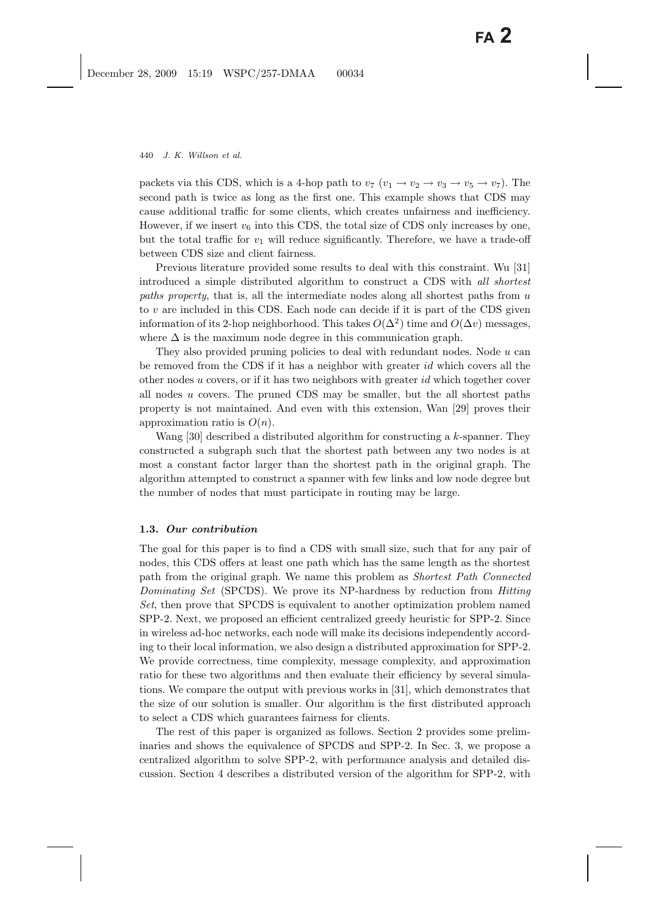packets via this CDS, which is a 4-hop path to  $v_7$   $(v_1 \rightarrow v_2 \rightarrow v_3 \rightarrow v_5 \rightarrow v_7)$ . The second path is twice as long as the first one. This example shows that CDS may cause additional traffic for some clients, which creates unfairness and inefficiency. However, if we insert  $v_6$  into this CDS, the total size of CDS only increases by one, but the total traffic for  $v_1$  will reduce significantly. Therefore, we have a trade-off between CDS size and client fairness.

Previous literature provided some results to deal with this constraint. Wu [31] introduced a simple distributed algorithm to construct a CDS with *all shortest paths property*, that is, all the intermediate nodes along all shortest paths from u to  $v$  are included in this CDS. Each node can decide if it is part of the CDS given information of its 2-hop neighborhood. This takes  $O(\Delta^2)$  time and  $O(\Delta v)$  messages, where  $\Delta$  is the maximum node degree in this communication graph.

They also provided pruning policies to deal with redundant nodes. Node  $u$  can be removed from the CDS if it has a neighbor with greater id which covers all the other nodes u covers, or if it has two neighbors with greater id which together cover all nodes u covers. The pruned CDS may be smaller, but the all shortest paths property is not maintained. And even with this extension, Wan [29] proves their approximation ratio is  $O(n)$ .

Wang  $[30]$  described a distributed algorithm for constructing a k-spanner. They constructed a subgraph such that the shortest path between any two nodes is at most a constant factor larger than the shortest path in the original graph. The algorithm attempted to construct a spanner with few links and low node degree but the number of nodes that must participate in routing may be large.

#### **1.3.** *Our contribution*

The goal for this paper is to find a CDS with small size, such that for any pair of nodes, this CDS offers at least one path which has the same length as the shortest path from the original graph. We name this problem as *Shortest Path Connected Dominating Set* (SPCDS). We prove its NP-hardness by reduction from *Hitting Set*, then prove that SPCDS is equivalent to another optimization problem named SPP-2. Next, we proposed an efficient centralized greedy heuristic for SPP-2. Since in wireless ad-hoc networks, each node will make its decisions independently according to their local information, we also design a distributed approximation for SPP-2. We provide correctness, time complexity, message complexity, and approximation ratio for these two algorithms and then evaluate their efficiency by several simulations. We compare the output with previous works in [31], which demonstrates that the size of our solution is smaller. Our algorithm is the first distributed approach to select a CDS which guarantees fairness for clients.

The rest of this paper is organized as follows. Section 2 provides some preliminaries and shows the equivalence of SPCDS and SPP-2. In Sec. 3, we propose a centralized algorithm to solve SPP-2, with performance analysis and detailed discussion. Section 4 describes a distributed version of the algorithm for SPP-2, with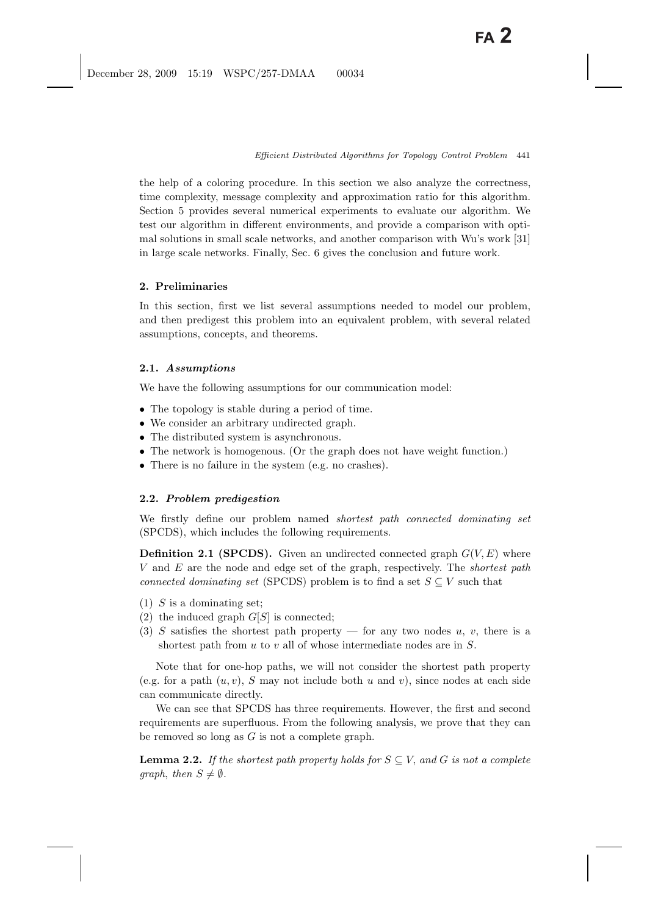the help of a coloring procedure. In this section we also analyze the correctness, time complexity, message complexity and approximation ratio for this algorithm. Section 5 provides several numerical experiments to evaluate our algorithm. We test our algorithm in different environments, and provide a comparison with optimal solutions in small scale networks, and another comparison with Wu's work [31] in large scale networks. Finally, Sec. 6 gives the conclusion and future work.

### **2. Preliminaries**

In this section, first we list several assumptions needed to model our problem, and then predigest this problem into an equivalent problem, with several related assumptions, concepts, and theorems.

## **2.1.** *Assumptions*

We have the following assumptions for our communication model:

- The topology is stable during a period of time.
- We consider an arbitrary undirected graph.
- The distributed system is asynchronous.
- The network is homogenous. (Or the graph does not have weight function.)
- There is no failure in the system (e.g. no crashes).

### **2.2.** *Problem predigestion*

We firstly define our problem named *shortest path connected dominating set* (SPCDS), which includes the following requirements.

**Definition 2.1 (SPCDS).** Given an undirected connected graph  $G(V, E)$  where V and E are the node and edge set of the graph, respectively. The *shortest path connected dominating set* (SPCDS) problem is to find a set  $S \subseteq V$  such that

- $(1)$  S is a dominating set;
- (2) the induced graph  $G[S]$  is connected;
- (3) S satisfies the shortest path property for any two nodes  $u, v$ , there is a shortest path from  $u$  to  $v$  all of whose intermediate nodes are in  $S$ .

Note that for one-hop paths, we will not consider the shortest path property (e.g. for a path  $(u, v)$ , S may not include both u and v), since nodes at each side can communicate directly.

We can see that SPCDS has three requirements. However, the first and second requirements are superfluous. From the following analysis, we prove that they can be removed so long as  $G$  is not a complete graph.

**Lemma 2.2.** *If the shortest path property holds for*  $S \subseteq V$ , and G *is not a complete graph*, *then*  $S \neq \emptyset$ *.*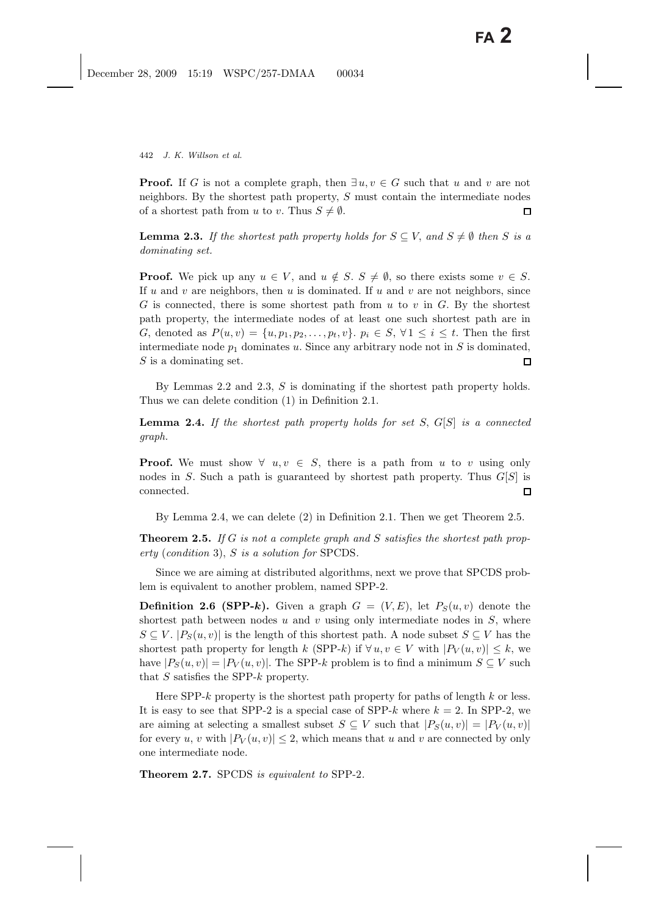**Proof.** If G is not a complete graph, then  $\exists u, v \in G$  such that u and v are not neighbors. By the shortest path property, S must contain the intermediate nodes of a shortest path from u to v. Thus  $S \neq \emptyset$ .  $\Box$ 

**Lemma 2.3.** If the shortest path property holds for  $S \subseteq V$ , and  $S \neq \emptyset$  then S is a *dominating set.*

**Proof.** We pick up any  $u \in V$ , and  $u \notin S$ .  $S \neq \emptyset$ , so there exists some  $v \in S$ . If u and v are neighbors, then u is dominated. If u and v are not neighbors, since G is connected, there is some shortest path from u to v in G. By the shortest path property, the intermediate nodes of at least one such shortest path are in G, denoted as  $P(u, v) = \{u, p_1, p_2, \ldots, p_t, v\}$ ,  $p_i \in S, \forall 1 \leq i \leq t$ . Then the first intermediate node  $p_1$  dominates u. Since any arbitrary node not in S is dominated,<br>S is a dominating set. S is a dominating set.

By Lemmas 2.2 and 2.3, S is dominating if the shortest path property holds. Thus we can delete condition (1) in Definition 2.1.

**Lemma 2.4.** *If the shortest path property holds for set* S, G[S] *is a connected graph.*

**Proof.** We must show  $\forall u, v \in S$ , there is a path from u to v using only nodes in S. Such a path is guaranteed by shortest path property. Thus  $G[S]$  is connected.  $\Box$ 

By Lemma 2.4, we can delete (2) in Definition 2.1. Then we get Theorem 2.5.

**Theorem 2.5.** *If* G *is not a complete graph and* S *satisfies the shortest path property* (*condition* 3), S *is a solution for* SPCDS*.*

Since we are aiming at distributed algorithms, next we prove that SPCDS problem is equivalent to another problem, named SPP-2.

**Definition 2.6 (SPP-***k*). Given a graph  $G = (V, E)$ , let  $P_S(u, v)$  denote the shortest path between nodes  $u$  and  $v$  using only intermediate nodes in  $S$ , where  $S \subseteq V$ .  $|P_S(u, v)|$  is the length of this shortest path. A node subset  $S \subseteq V$  has the shortest path property for length k (SPP-k) if  $\forall u, v \in V$  with  $|P_V(u, v)| \leq k$ , we have  $|P_S(u, v)| = |P_V(u, v)|$ . The SPP-k problem is to find a minimum  $S \subseteq V$  such that  $S$  satisfies the SPP- $k$  property.

Here  $SPP-k$  property is the shortest path property for paths of length k or less. It is easy to see that SPP-2 is a special case of SPP-k where  $k = 2$ . In SPP-2, we are aiming at selecting a smallest subset  $S \subseteq V$  such that  $|P_S(u, v)| = |P_V(u, v)|$ for every u, v with  $|P_V(u, v)| \leq 2$ , which means that u and v are connected by only one intermediate node.

**Theorem 2.7.** SPCDS *is equivalent to* SPP-2*.*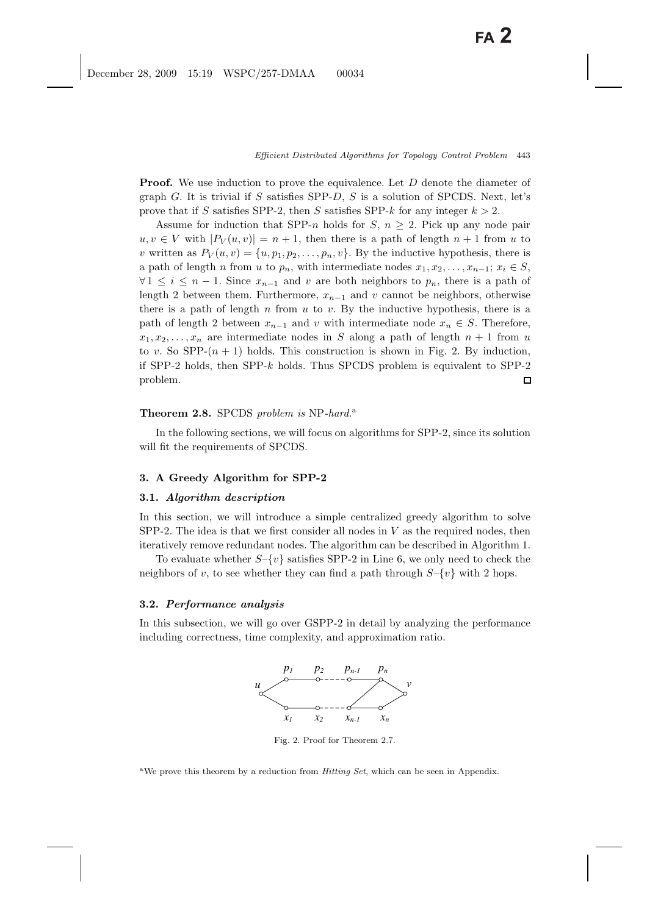**Proof.** We use induction to prove the equivalence. Let D denote the diameter of graph G. It is trivial if S satisfies  $SPP-D$ , S is a solution of SPCDS. Next, let's prove that if S satisfies SPP-2, then S satisfies SPP-k for any integer  $k > 2$ .

Assume for induction that SPP-n holds for  $S, n \geq 2$ . Pick up any node pair  $u, v \in V$  with  $|P_V(u, v)| = n + 1$ , then there is a path of length  $n + 1$  from u to v written as  $P_V(u, v) = \{u, p_1, p_2, \ldots, p_n, v\}$ . By the inductive hypothesis, there is a path of length *n* from u to  $p_n$ , with intermediate nodes  $x_1, x_2, \ldots, x_{n-1}$ ;  $x_i \in S$ ,  $∀1 ≤ i ≤ n - 1. Since x<sub>n-1</sub> and v are both neighbors to p<sub>n</sub>, there is a path of$ length 2 between them. Furthermore,  $x_{n-1}$  and v cannot be neighbors, otherwise there is a path of length  $n$  from  $u$  to  $v$ . By the inductive hypothesis, there is a path of length 2 between  $x_{n-1}$  and v with intermediate node  $x_n \in S$ . Therefore,  $x_1, x_2, \ldots, x_n$  are intermediate nodes in S along a path of length  $n + 1$  from u to v. So SPP- $(n + 1)$  holds. This construction is shown in Fig. 2. By induction, if SPP-2 holds, then SPP-k holds. Thus SPCDS problem is equivalent to SPP-2 problem.  $\Box$ 

#### **Theorem 2.8.** SPCDS *problem is* NP*-hard.*<sup>a</sup>

In the following sections, we will focus on algorithms for SPP-2, since its solution will fit the requirements of SPCDS.

## **3. A Greedy Algorithm for SPP-2**

#### **3.1.** *Algorithm description*

In this section, we will introduce a simple centralized greedy algorithm to solve SPP-2. The idea is that we first consider all nodes in  $V$  as the required nodes, then iteratively remove redundant nodes. The algorithm can be described in Algorithm 1.

To evaluate whether  $S-\{v\}$  satisfies SPP-2 in Line 6, we only need to check the neighbors of v, to see whether they can find a path through  $S-\{v\}$  with 2 hops.

#### **3.2.** *Performance analysis*

In this subsection, we will go over GSPP-2 in detail by analyzing the performance including correctness, time complexity, and approximation ratio.



Fig. 2. Proof for Theorem 2.7.

<sup>a</sup>We prove this theorem by a reduction from *Hitting Set*, which can be seen in Appendix.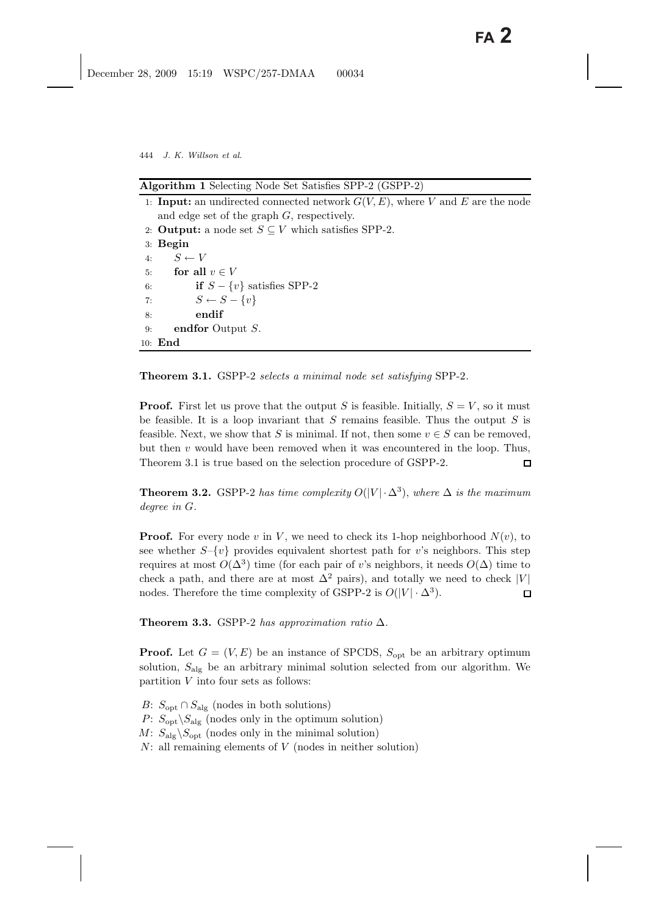**Algorithm 1** Selecting Node Set Satisfies SPP-2 (GSPP-2)

1: **Input:** an undirected connected network  $G(V, E)$ , where V and E are the node and edge set of the graph G, respectively. 2: **Output:** a node set  $S \subseteq V$  which satisfies SPP-2. 3: **Begin** 4:  $S \leftarrow V$ 5: **for all**  $v \in V$ 6: **if**  $S - \{v\}$  satisfies SPP-2 7:  $S \leftarrow S - \{v\}$ 8: **endif** 9: **endfor** Output S. 10: **End**

**Theorem 3.1.** GSPP-2 *selects a minimal node set satisfying* SPP-2*.*

**Proof.** First let us prove that the output S is feasible. Initially,  $S = V$ , so it must be feasible. It is a loop invariant that S remains feasible. Thus the output S is feasible. Next, we show that S is minimal. If not, then some  $v \in S$  can be removed, but then  $v$  would have been removed when it was encountered in the loop. Thus, Theorem 3.1 is true based on the selection procedure of GSPP-2.  $\Box$ 

**Theorem 3.2.** GSPP-2 *has time complexity*  $O(|V| \cdot \Delta^3)$ *, where*  $\Delta$  *is the maximum degree in* G*.*

**Proof.** For every node v in V, we need to check its 1-hop neighborhood  $N(v)$ , to see whether  $S-\{v\}$  provides equivalent shortest path for v's neighbors. This step requires at most  $O(\Delta^3)$  time (for each pair of v's neighbors, it needs  $O(\Delta)$  time to check a path, and there are at most  $\Delta^2$  pairs), and totally we need to check |V| nodes. Therefore the time complexity of GSPP-2 is  $O(|V| \cdot \Delta^3)$ .  $\Box$ 

**Theorem 3.3.** GSPP-2 *has approximation ratio*  $\Delta$ *.* 

**Proof.** Let  $G = (V, E)$  be an instance of SPCDS,  $S_{\text{opt}}$  be an arbitrary optimum solution,  $S_{\text{alg}}$  be an arbitrary minimal solution selected from our algorithm. We partition V into four sets as follows:

- B:  $S_{\text{opt}} \cap S_{\text{alg}}$  (nodes in both solutions)
- P:  $S_{\text{opt}}\backslash S_{\text{alg}}$  (nodes only in the optimum solution)
- $M: S_{\text{alg}}\backslash S_{\text{opt}}$  (nodes only in the minimal solution)
- N: all remaining elements of V (nodes in neither solution)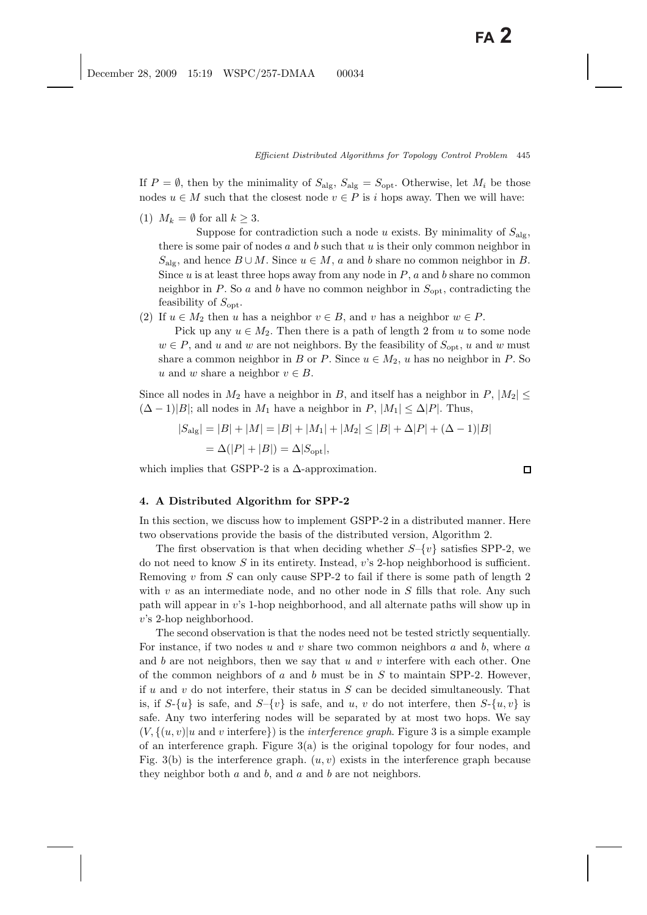If  $P = \emptyset$ , then by the minimality of  $S_{\text{alg}}$ ,  $S_{\text{alg}} = S_{\text{opt}}$ . Otherwise, let  $M_i$  be those nodes  $u \in M$  such that the closest node  $v \in P$  is i hops away. Then we will have:

(1)  $M_k = \emptyset$  for all  $k \geq 3$ .

Suppose for contradiction such a node u exists. By minimality of  $S_{\text{alg}}$ , there is some pair of nodes a and b such that  $u$  is their only common neighbor in  $S_{\text{alg}}$ , and hence  $B \cup M$ . Since  $u \in M$ , a and b share no common neighbor in B. Since  $u$  is at least three hops away from any node in  $P$ ,  $a$  and  $b$  share no common neighbor in P. So a and b have no common neighbor in  $S_{\text{opt}}$ , contradicting the feasibility of  $S_{\text{opt}}$ .

(2) If  $u \in M_2$  then u has a neighbor  $v \in B$ , and v has a neighbor  $w \in P$ .

Pick up any  $u \in M_2$ . Then there is a path of length 2 from u to some node  $w \in P$ , and u and w are not neighbors. By the feasibility of  $S_{\text{opt}}$ , u and w must share a common neighbor in B or P. Since  $u \in M_2$ , u has no neighbor in P. So u and w share a neighbor  $v \in B$ .

Since all nodes in  $M_2$  have a neighbor in B, and itself has a neighbor in  $P, |M_2| \leq$  $(\Delta - 1)|B|$ ; all nodes in  $M_1$  have a neighbor in  $P$ ,  $|M_1| \leq \Delta |P|$ . Thus,

$$
|S_{\rm alg}| = |B| + |M| = |B| + |M_1| + |M_2| \le |B| + \Delta |P| + (\Delta - 1)|B|
$$
  
=  $\Delta (|P| + |B|) = \Delta |S_{\rm opt}|,$ 

which implies that GSPP-2 is a  $\Delta$ -approximation.

#### **4. A Distributed Algorithm for SPP-2**

In this section, we discuss how to implement GSPP-2 in a distributed manner. Here two observations provide the basis of the distributed version, Algorithm 2.

The first observation is that when deciding whether  $S-\{v\}$  satisfies SPP-2, we do not need to know  $S$  in its entirety. Instead,  $v$ 's 2-hop neighborhood is sufficient. Removing  $v$  from  $S$  can only cause SPP-2 to fail if there is some path of length  $2$ with  $v$  as an intermediate node, and no other node in  $S$  fills that role. Any such path will appear in v's 1-hop neighborhood, and all alternate paths will show up in v's 2-hop neighborhood.

The second observation is that the nodes need not be tested strictly sequentially. For instance, if two nodes u and v share two common neighbors a and b, where a and b are not neighbors, then we say that u and v interfere with each other. One of the common neighbors of a and b must be in S to maintain SPP-2. However, if u and v do not interfere, their status in  $S$  can be decided simultaneously. That is, if  $S-\{u\}$  is safe, and  $S-\{v\}$  is safe, and u, v do not interfere, then  $S-\{u, v\}$  is safe. Any two interfering nodes will be separated by at most two hops. We say  $(V, \{(u, v)|u \text{ and } v \text{ interfere}\})$  is the *interference graph*. Figure 3 is a simple example of an interference graph. Figure 3(a) is the original topology for four nodes, and Fig. 3(b) is the interference graph.  $(u, v)$  exists in the interference graph because they neighbor both  $a$  and  $b$ , and  $a$  and  $b$  are not neighbors.

 $\Box$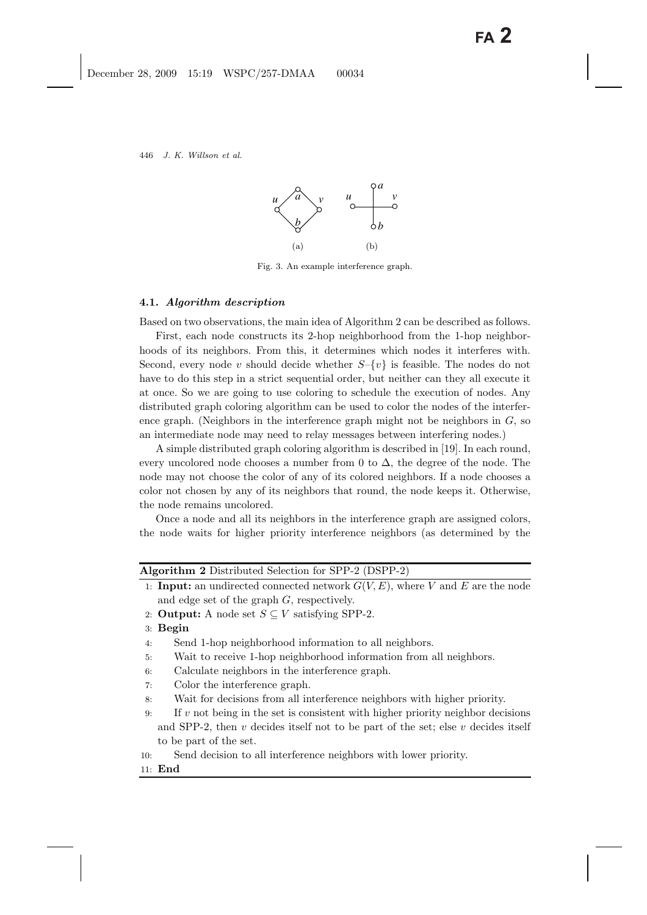

Fig. 3. An example interference graph.

#### **4.1.** *Algorithm description*

Based on two observations, the main idea of Algorithm 2 can be described as follows.

First, each node constructs its 2-hop neighborhood from the 1-hop neighborhoods of its neighbors. From this, it determines which nodes it interferes with. Second, every node v should decide whether  $S-\{v\}$  is feasible. The nodes do not have to do this step in a strict sequential order, but neither can they all execute it at once. So we are going to use coloring to schedule the execution of nodes. Any distributed graph coloring algorithm can be used to color the nodes of the interference graph. (Neighbors in the interference graph might not be neighbors in  $G$ , so an intermediate node may need to relay messages between interfering nodes.)

A simple distributed graph coloring algorithm is described in [19]. In each round, every uncolored node chooses a number from 0 to  $\Delta$ , the degree of the node. The node may not choose the color of any of its colored neighbors. If a node chooses a color not chosen by any of its neighbors that round, the node keeps it. Otherwise, the node remains uncolored.

Once a node and all its neighbors in the interference graph are assigned colors, the node waits for higher priority interference neighbors (as determined by the

| Algorithm 2 Distributed Selection for SPP-2 (DSPP-2)                                    |
|-----------------------------------------------------------------------------------------|
| 1: <b>Input:</b> an undirected connected network $G(V, E)$ , where V and E are the node |
| and edge set of the graph $G$ , respectively.                                           |
| 2. <b>Output:</b> A node set $S \subseteq V$ satisfying SPP-2.                          |

- 3: **Begin**
- 4: Send 1-hop neighborhood information to all neighbors.
- 5: Wait to receive 1-hop neighborhood information from all neighbors.
- 6: Calculate neighbors in the interference graph.
- 7: Color the interference graph.
- 8: Wait for decisions from all interference neighbors with higher priority.
- 9: If v not being in the set is consistent with higher priority neighbor decisions and SPP-2, then  $v$  decides itself not to be part of the set; else  $v$  decides itself to be part of the set.
- 10: Send decision to all interference neighbors with lower priority.
- 11: **End**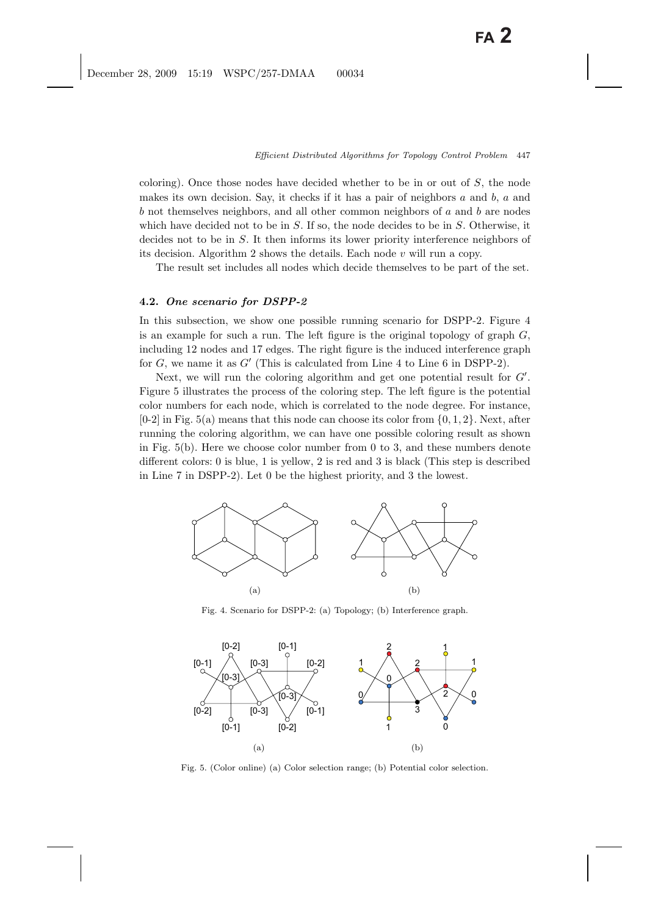coloring). Once those nodes have decided whether to be in or out of  $S$ , the node makes its own decision. Say, it checks if it has a pair of neighbors  $a$  and  $b$ ,  $a$  and  $b$  not themselves neighbors, and all other common neighbors of  $a$  and  $b$  are nodes which have decided not to be in S. If so, the node decides to be in S. Otherwise, it decides not to be in S. It then informs its lower priority interference neighbors of its decision. Algorithm 2 shows the details. Each node  $v$  will run a copy.

The result set includes all nodes which decide themselves to be part of the set.

#### **4.2.** *One scenario for DSPP-2*

In this subsection, we show one possible running scenario for DSPP-2. Figure 4 is an example for such a run. The left figure is the original topology of graph  $G$ , including 12 nodes and 17 edges. The right figure is the induced interference graph for  $G$ , we name it as  $G'$  (This is calculated from Line 4 to Line 6 in DSPP-2).

Next, we will run the coloring algorithm and get one potential result for  $G'$ . Figure 5 illustrates the process of the coloring step. The left figure is the potential color numbers for each node, which is correlated to the node degree. For instance,  $[0-2]$  in Fig. 5(a) means that this node can choose its color from  $\{0, 1, 2\}$ . Next, after running the coloring algorithm, we can have one possible coloring result as shown in Fig. 5(b). Here we choose color number from 0 to 3, and these numbers denote different colors: 0 is blue, 1 is yellow, 2 is red and 3 is black (This step is described in Line 7 in DSPP-2). Let 0 be the highest priority, and 3 the lowest.



Fig. 4. Scenario for DSPP-2: (a) Topology; (b) Interference graph.



Fig. 5. (Color online) (a) Color selection range; (b) Potential color selection.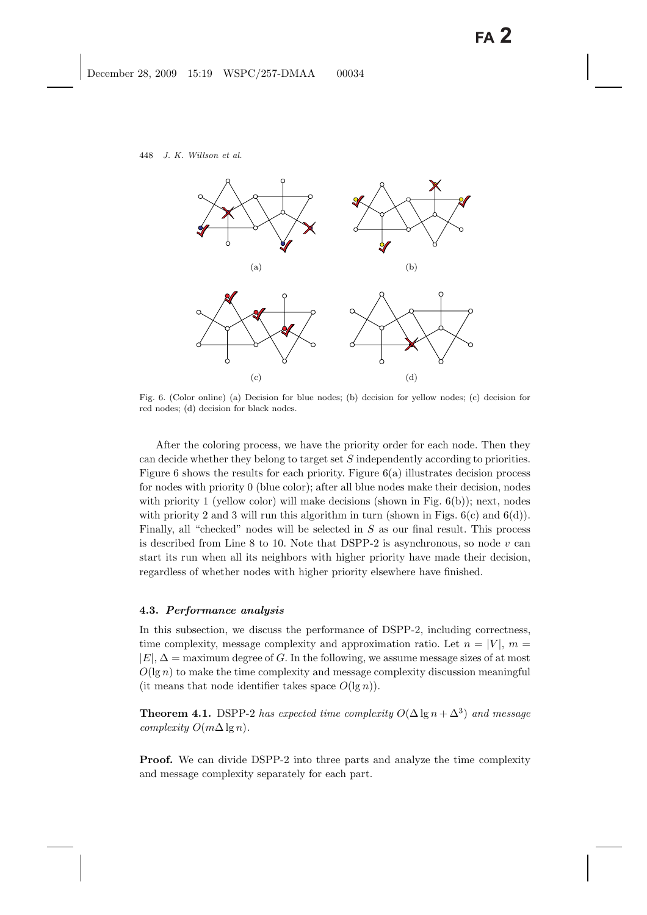

Fig. 6. (Color online) (a) Decision for blue nodes; (b) decision for yellow nodes; (c) decision for red nodes; (d) decision for black nodes.

After the coloring process, we have the priority order for each node. Then they can decide whether they belong to target set S independently according to priorities. Figure 6 shows the results for each priority. Figure 6(a) illustrates decision process for nodes with priority 0 (blue color); after all blue nodes make their decision, nodes with priority 1 (yellow color) will make decisions (shown in Fig.  $6(b)$ ); next, nodes with priority 2 and 3 will run this algorithm in turn (shown in Figs.  $6(c)$  and  $6(d)$ ). Finally, all "checked" nodes will be selected in  $S$  as our final result. This process is described from Line 8 to 10. Note that DSPP-2 is asynchronous, so node  $v$  can start its run when all its neighbors with higher priority have made their decision, regardless of whether nodes with higher priority elsewhere have finished.

### **4.3.** *Performance analysis*

In this subsection, we discuss the performance of DSPP-2, including correctness, time complexity, message complexity and approximation ratio. Let  $n = |V|$ ,  $m =$  $|E|, \Delta = \text{maximum degree of } G$ . In the following, we assume message sizes of at most  $O(\lg n)$  to make the time complexity and message complexity discussion meaningful (it means that node identifier takes space  $O(\lg n)$ ).

**Theorem 4.1.** DSPP-2 *has expected time complexity*  $O(\Delta \lg n + \Delta^3)$  *and message complexity*  $O(m\Delta \lg n)$ *.* 

**Proof.** We can divide DSPP-2 into three parts and analyze the time complexity and message complexity separately for each part.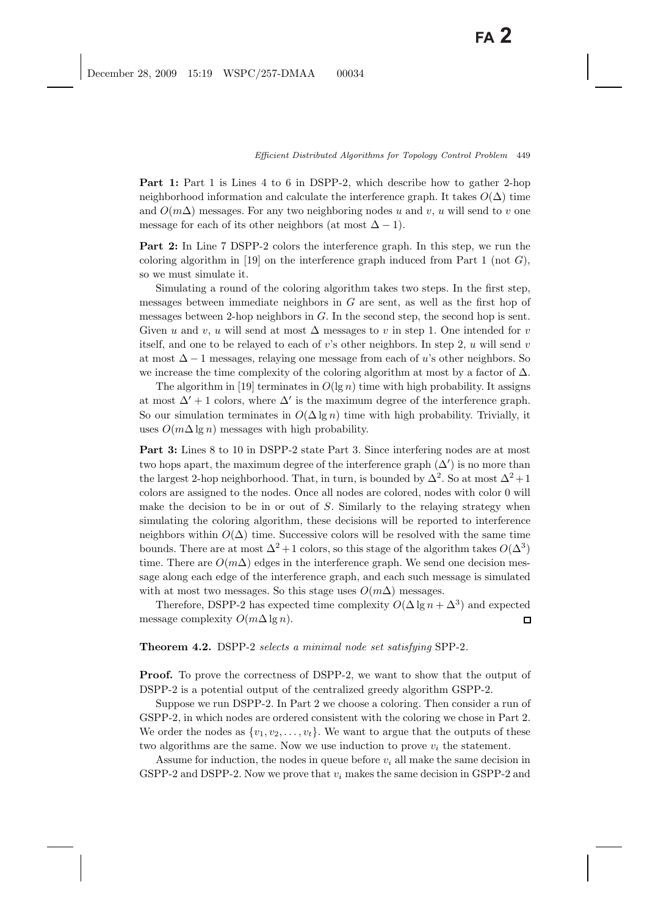**Part 1:** Part 1 is Lines 4 to 6 in DSPP-2, which describe how to gather 2-hop neighborhood information and calculate the interference graph. It takes  $O(\Delta)$  time and  $O(m\Delta)$  messages. For any two neighboring nodes u and v, u will send to v one message for each of its other neighbors (at most  $\Delta - 1$ ).

**Part 2:** In Line 7 DSPP-2 colors the interference graph. In this step, we run the coloring algorithm in [19] on the interference graph induced from Part 1 (not  $G$ ), so we must simulate it.

Simulating a round of the coloring algorithm takes two steps. In the first step, messages between immediate neighbors in  $G$  are sent, as well as the first hop of messages between 2-hop neighbors in  $G$ . In the second step, the second hop is sent. Given u and v, u will send at most  $\Delta$  messages to v in step 1. One intended for v itself, and one to be relayed to each of v's other neighbors. In step 2,  $u$  will send v at most  $\Delta - 1$  messages, relaying one message from each of u's other neighbors. So we increase the time complexity of the coloring algorithm at most by a factor of  $\Delta$ .

The algorithm in [19] terminates in  $O(\lg n)$  time with high probability. It assigns at most  $\Delta' + 1$  colors, where  $\Delta'$  is the maximum degree of the interference graph. So our simulation terminates in  $O(\Delta \lg n)$  time with high probability. Trivially, it uses  $O(m\Delta \lg n)$  messages with high probability.

**Part 3:** Lines 8 to 10 in DSPP-2 state Part 3. Since interfering nodes are at most two hops apart, the maximum degree of the interference graph  $(\Delta')$  is no more than the largest 2-hop neighborhood. That, in turn, is bounded by  $\Delta^2$ . So at most  $\Delta^2 + 1$ colors are assigned to the nodes. Once all nodes are colored, nodes with color 0 will make the decision to be in or out of  $S$ . Similarly to the relaying strategy when simulating the coloring algorithm, these decisions will be reported to interference neighbors within  $O(\Delta)$  time. Successive colors will be resolved with the same time bounds. There are at most  $\Delta^2 + 1$  colors, so this stage of the algorithm takes  $O(\Delta^3)$ time. There are  $O(m\Delta)$  edges in the interference graph. We send one decision message along each edge of the interference graph, and each such message is simulated with at most two messages. So this stage uses  $O(m\Delta)$  messages.

Therefore, DSPP-2 has expected time complexity  $O(\Delta \lg n + \Delta^3)$  and expected message complexity  $O(m\Delta \lg n)$ .  $\Box$ 

#### **Theorem 4.2.** DSPP-2 *selects a minimal node set satisfying* SPP-2*.*

**Proof.** To prove the correctness of DSPP-2, we want to show that the output of DSPP-2 is a potential output of the centralized greedy algorithm GSPP-2.

Suppose we run DSPP-2. In Part 2 we choose a coloring. Then consider a run of GSPP-2, in which nodes are ordered consistent with the coloring we chose in Part 2. We order the nodes as  $\{v_1, v_2, \ldots, v_t\}$ . We want to argue that the outputs of these two algorithms are the same. Now we use induction to prove  $v_i$  the statement.

Assume for induction, the nodes in queue before  $v_i$  all make the same decision in GSPP-2 and DSPP-2. Now we prove that  $v_i$  makes the same decision in GSPP-2 and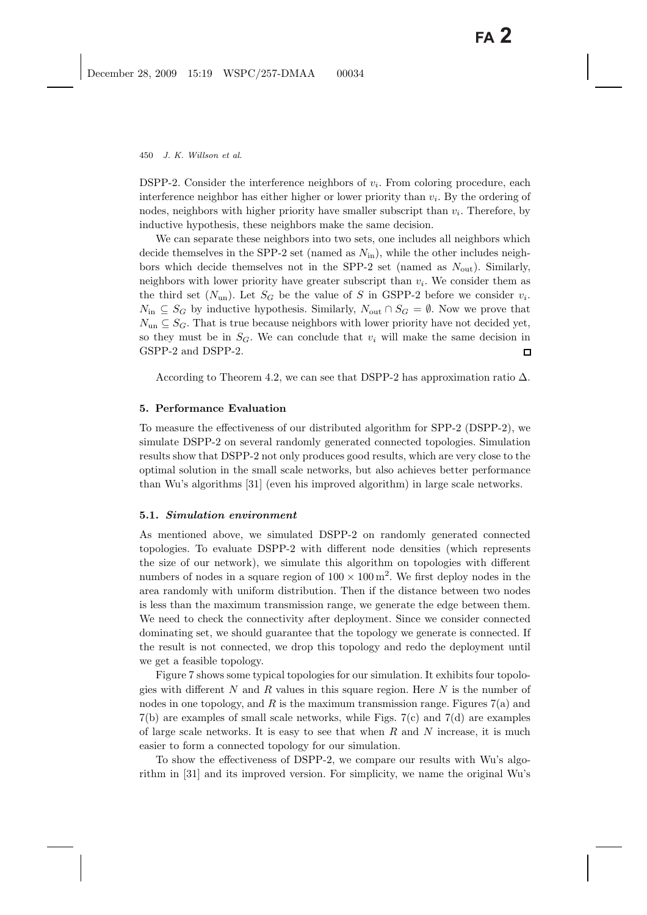DSPP-2. Consider the interference neighbors of  $v_i$ . From coloring procedure, each interference neighbor has either higher or lower priority than v*i*. By the ordering of nodes, neighbors with higher priority have smaller subscript than  $v_i$ . Therefore, by inductive hypothesis, these neighbors make the same decision.

We can separate these neighbors into two sets, one includes all neighbors which decide themselves in the SPP-2 set (named as  $N_{\text{in}}$ ), while the other includes neighbors which decide themselves not in the SPP-2 set (named as  $N_{\text{out}}$ ). Similarly, neighbors with lower priority have greater subscript than v*i*. We consider them as the third set  $(N_{\text{un}})$ . Let  $S_G$  be the value of S in GSPP-2 before we consider  $v_i$ .  $N_{\text{in}}$  ⊆  $S_G$  by inductive hypothesis. Similarly,  $N_{\text{out}} \cap S_G = \emptyset$ . Now we prove that  $N_{\text{un}} \subseteq S_G$ . That is true because neighbors with lower priority have not decided yet, so they must be in  $S_G$ . We can conclude that  $v_i$  will make the same decision in GSPP-2 and DSPP-2.  $\Box$ 

According to Theorem 4.2, we can see that DSPP-2 has approximation ratio  $\Delta$ .

#### **5. Performance Evaluation**

To measure the effectiveness of our distributed algorithm for SPP-2 (DSPP-2), we simulate DSPP-2 on several randomly generated connected topologies. Simulation results show that DSPP-2 not only produces good results, which are very close to the optimal solution in the small scale networks, but also achieves better performance than Wu's algorithms [31] (even his improved algorithm) in large scale networks.

#### **5.1.** *Simulation environment*

As mentioned above, we simulated DSPP-2 on randomly generated connected topologies. To evaluate DSPP-2 with different node densities (which represents the size of our network), we simulate this algorithm on topologies with different numbers of nodes in a square region of  $100 \times 100$  m<sup>2</sup>. We first deploy nodes in the area randomly with uniform distribution. Then if the distance between two nodes is less than the maximum transmission range, we generate the edge between them. We need to check the connectivity after deployment. Since we consider connected dominating set, we should guarantee that the topology we generate is connected. If the result is not connected, we drop this topology and redo the deployment until we get a feasible topology.

Figure 7 shows some typical topologies for our simulation. It exhibits four topologies with different N and R values in this square region. Here  $N$  is the number of nodes in one topology, and R is the maximum transmission range. Figures  $7(a)$  and  $7(b)$  are examples of small scale networks, while Figs.  $7(c)$  and  $7(d)$  are examples of large scale networks. It is easy to see that when  $R$  and  $N$  increase, it is much easier to form a connected topology for our simulation.

To show the effectiveness of DSPP-2, we compare our results with Wu's algorithm in [31] and its improved version. For simplicity, we name the original Wu's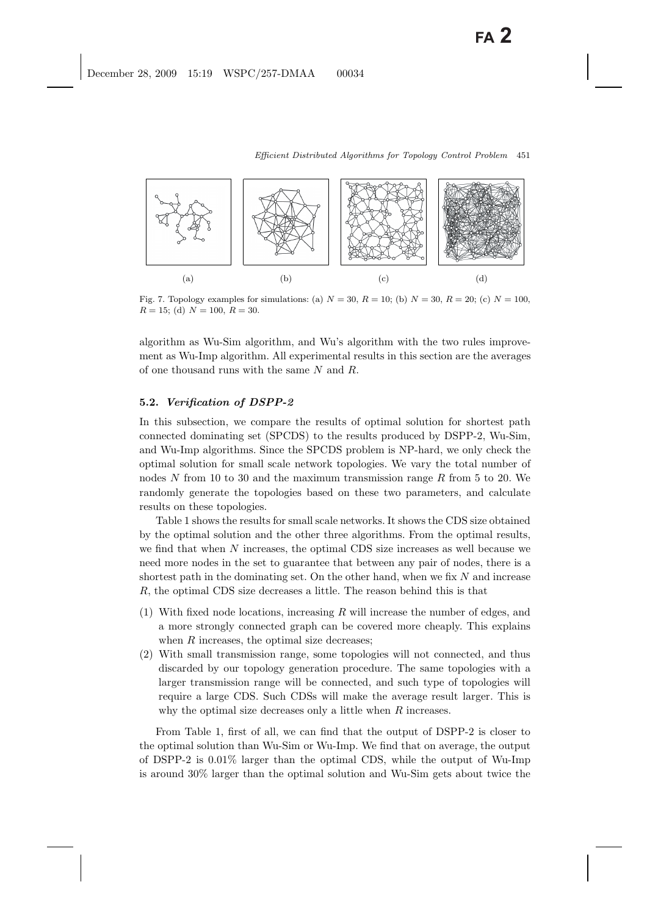

Fig. 7. Topology examples for simulations: (a)  $N = 30$ ,  $R = 10$ ; (b)  $N = 30$ ,  $R = 20$ ; (c)  $N = 100$ ,  $R = 15$ ; (d)  $N = 100$ ,  $R = 30$ .

algorithm as Wu-Sim algorithm, and Wu's algorithm with the two rules improvement as Wu-Imp algorithm. All experimental results in this section are the averages of one thousand runs with the same N and R.

#### **5.2.** *Verification of DSPP-2*

In this subsection, we compare the results of optimal solution for shortest path connected dominating set (SPCDS) to the results produced by DSPP-2, Wu-Sim, and Wu-Imp algorithms. Since the SPCDS problem is NP-hard, we only check the optimal solution for small scale network topologies. We vary the total number of nodes N from 10 to 30 and the maximum transmission range R from 5 to 20. We randomly generate the topologies based on these two parameters, and calculate results on these topologies.

Table 1 shows the results for small scale networks. It shows the CDS size obtained by the optimal solution and the other three algorithms. From the optimal results, we find that when N increases, the optimal CDS size increases as well because we need more nodes in the set to guarantee that between any pair of nodes, there is a shortest path in the dominating set. On the other hand, when we fix  $N$  and increase R, the optimal CDS size decreases a little. The reason behind this is that

- $(1)$  With fixed node locations, increasing R will increase the number of edges, and a more strongly connected graph can be covered more cheaply. This explains when  $R$  increases, the optimal size decreases;
- (2) With small transmission range, some topologies will not connected, and thus discarded by our topology generation procedure. The same topologies with a larger transmission range will be connected, and such type of topologies will require a large CDS. Such CDSs will make the average result larger. This is why the optimal size decreases only a little when  $R$  increases.

From Table 1, first of all, we can find that the output of DSPP-2 is closer to the optimal solution than Wu-Sim or Wu-Imp. We find that on average, the output of DSPP-2 is 0.01% larger than the optimal CDS, while the output of Wu-Imp is around 30% larger than the optimal solution and Wu-Sim gets about twice the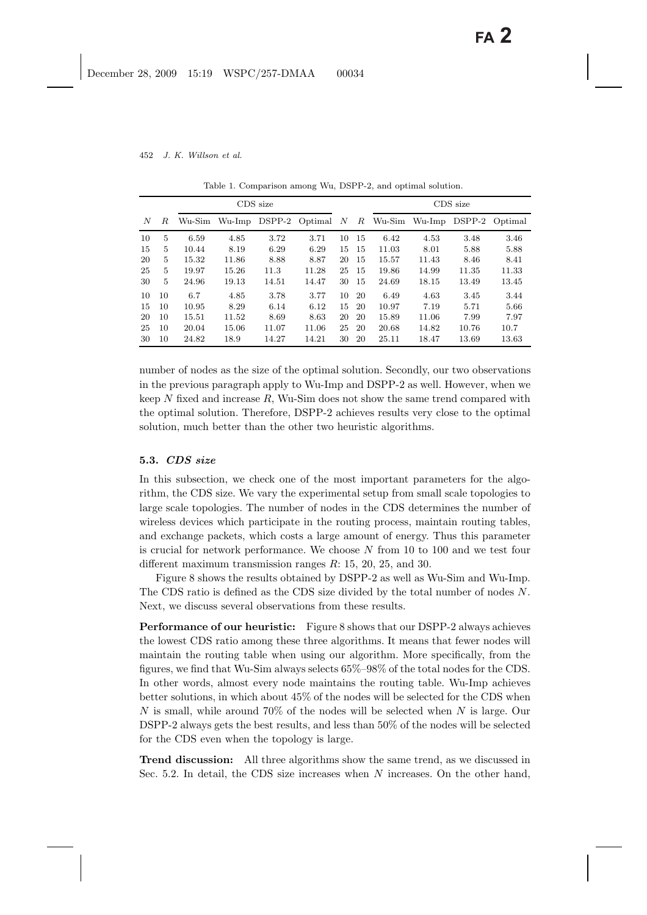|    |    | CDS size |       |                           |       |    |                 | CDS size |       |                       |       |
|----|----|----------|-------|---------------------------|-------|----|-----------------|----------|-------|-----------------------|-------|
| N  | R  | Wu-Sim   |       | Wu-Imp DSPP-2 Optimal $N$ |       |    | $R_{\parallel}$ | Wu-Sim   |       | Wu-Imp DSPP-2 Optimal |       |
| 10 | 5  | 6.59     | 4.85  | 3.72                      | 3.71  | 10 | -15             | 6.42     | 4.53  | 3.48                  | 3.46  |
| 15 | 5  | 10.44    | 8.19  | 6.29                      | 6.29  | 15 | -15             | 11.03    | 8.01  | 5.88                  | 5.88  |
| 20 | 5  | 15.32    | 11.86 | 8.88                      | 8.87  | 20 | -15             | 15.57    | 11.43 | 8.46                  | 8.41  |
| 25 | 5  | 19.97    | 15.26 | 11.3                      | 11.28 | 25 | -15             | 19.86    | 14.99 | 11.35                 | 11.33 |
| 30 | 5  | 24.96    | 19.13 | 14.51                     | 14.47 | 30 | -15             | 24.69    | 18.15 | 13.49                 | 13.45 |
| 10 | 10 | 6.7      | 4.85  | 3.78                      | 3.77  | 10 | 20              | 6.49     | 4.63  | 3.45                  | 3.44  |
| 15 | 10 | 10.95    | 8.29  | 6.14                      | 6.12  | 15 | 20              | 10.97    | 7.19  | 5.71                  | 5.66  |
| 20 | 10 | 15.51    | 11.52 | 8.69                      | 8.63  | 20 | 20              | 15.89    | 11.06 | 7.99                  | 7.97  |
| 25 | 10 | 20.04    | 15.06 | 11.07                     | 11.06 | 25 | 20              | 20.68    | 14.82 | 10.76                 | 10.7  |
| 30 | 10 | 24.82    | 18.9  | 14.27                     | 14.21 | 30 | 20              | 25.11    | 18.47 | 13.69                 | 13.63 |

Table 1. Comparison among Wu, DSPP-2, and optimal solution.

number of nodes as the size of the optimal solution. Secondly, our two observations in the previous paragraph apply to Wu-Imp and DSPP-2 as well. However, when we keep  $N$  fixed and increase  $R$ , Wu-Sim does not show the same trend compared with the optimal solution. Therefore, DSPP-2 achieves results very close to the optimal solution, much better than the other two heuristic algorithms.

### **5.3.** *CDS size*

In this subsection, we check one of the most important parameters for the algorithm, the CDS size. We vary the experimental setup from small scale topologies to large scale topologies. The number of nodes in the CDS determines the number of wireless devices which participate in the routing process, maintain routing tables, and exchange packets, which costs a large amount of energy. Thus this parameter is crucial for network performance. We choose  $N$  from 10 to 100 and we test four different maximum transmission ranges  $R: 15, 20, 25,$  and 30.

Figure 8 shows the results obtained by DSPP-2 as well as Wu-Sim and Wu-Imp. The CDS ratio is defined as the CDS size divided by the total number of nodes N. Next, we discuss several observations from these results.

**Performance of our heuristic:** Figure 8 shows that our DSPP-2 always achieves the lowest CDS ratio among these three algorithms. It means that fewer nodes will maintain the routing table when using our algorithm. More specifically, from the figures, we find that Wu-Sim always selects 65%–98% of the total nodes for the CDS. In other words, almost every node maintains the routing table. Wu-Imp achieves better solutions, in which about 45% of the nodes will be selected for the CDS when N is small, while around  $70\%$  of the nodes will be selected when N is large. Our DSPP-2 always gets the best results, and less than 50% of the nodes will be selected for the CDS even when the topology is large.

**Trend discussion:** All three algorithms show the same trend, as we discussed in Sec. 5.2. In detail, the CDS size increases when  $N$  increases. On the other hand,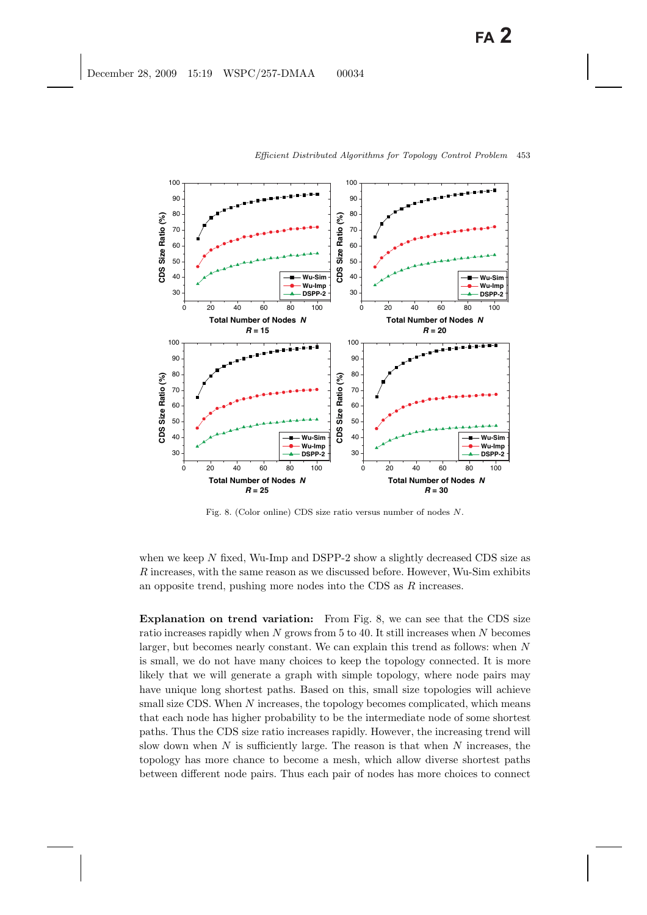

Fig. 8. (Color online) CDS size ratio versus number of nodes *N*.

when we keep N fixed, Wu-Imp and DSPP-2 show a slightly decreased CDS size as R increases, with the same reason as we discussed before. However, Wu-Sim exhibits an opposite trend, pushing more nodes into the CDS as R increases.

**Explanation on trend variation:** From Fig. 8, we can see that the CDS size ratio increases rapidly when  $N$  grows from 5 to 40. It still increases when  $N$  becomes larger, but becomes nearly constant. We can explain this trend as follows: when N is small, we do not have many choices to keep the topology connected. It is more likely that we will generate a graph with simple topology, where node pairs may have unique long shortest paths. Based on this, small size topologies will achieve small size CDS. When N increases, the topology becomes complicated, which means that each node has higher probability to be the intermediate node of some shortest paths. Thus the CDS size ratio increases rapidly. However, the increasing trend will slow down when  $N$  is sufficiently large. The reason is that when  $N$  increases, the topology has more chance to become a mesh, which allow diverse shortest paths between different node pairs. Thus each pair of nodes has more choices to connect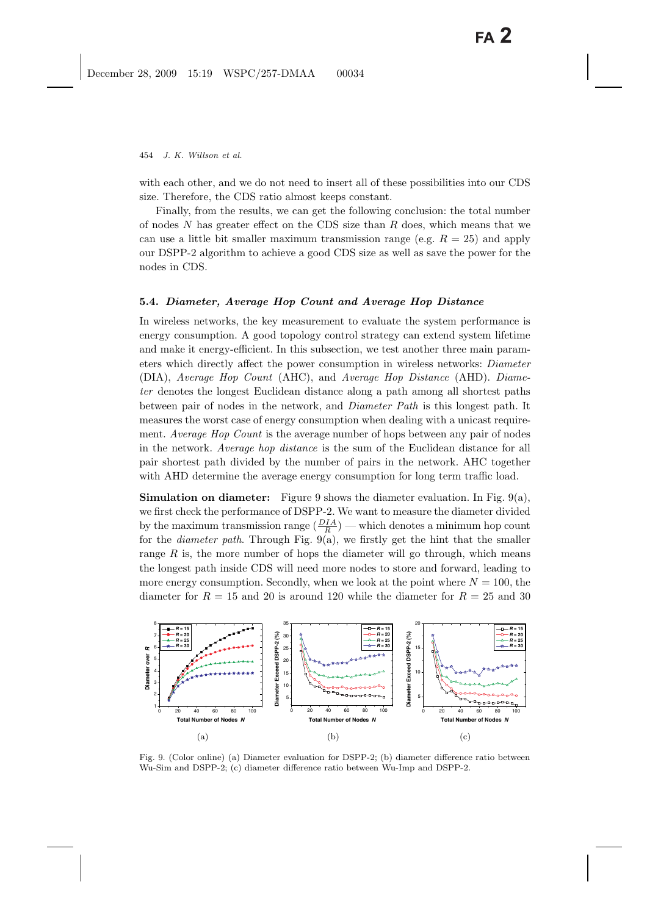with each other, and we do not need to insert all of these possibilities into our CDS size. Therefore, the CDS ratio almost keeps constant.

Finally, from the results, we can get the following conclusion: the total number of nodes  $N$  has greater effect on the CDS size than  $R$  does, which means that we can use a little bit smaller maximum transmission range (e.g.  $R = 25$ ) and apply our DSPP-2 algorithm to achieve a good CDS size as well as save the power for the nodes in CDS.

#### **5.4.** *Diameter, Average Hop Count and Average Hop Distance*

In wireless networks, the key measurement to evaluate the system performance is energy consumption. A good topology control strategy can extend system lifetime and make it energy-efficient. In this subsection, we test another three main parameters which directly affect the power consumption in wireless networks: *Diameter* (DIA), *Average Hop Count* (AHC), and *Average Hop Distance* (AHD). *Diameter* denotes the longest Euclidean distance along a path among all shortest paths between pair of nodes in the network, and *Diameter Path* is this longest path. It measures the worst case of energy consumption when dealing with a unicast requirement. *Average Hop Count* is the average number of hops between any pair of nodes in the network. *Average hop distance* is the sum of the Euclidean distance for all pair shortest path divided by the number of pairs in the network. AHC together with AHD determine the average energy consumption for long term traffic load.

**Simulation on diameter:** Figure 9 shows the diameter evaluation. In Fig. 9(a), we first check the performance of DSPP-2. We want to measure the diameter divided by the maximum transmission range  $(\frac{DIA}{R})$  — which denotes a minimum hop count for the *diameter path*. Through Fig. 9(a), we firstly get the hint that the smaller range  $R$  is, the more number of hops the diameter will go through, which means the longest path inside CDS will need more nodes to store and forward, leading to more energy consumption. Secondly, when we look at the point where  $N = 100$ , the diameter for  $R = 15$  and 20 is around 120 while the diameter for  $R = 25$  and 30



Fig. 9. (Color online) (a) Diameter evaluation for DSPP-2; (b) diameter difference ratio between Wu-Sim and DSPP-2; (c) diameter difference ratio between Wu-Imp and DSPP-2.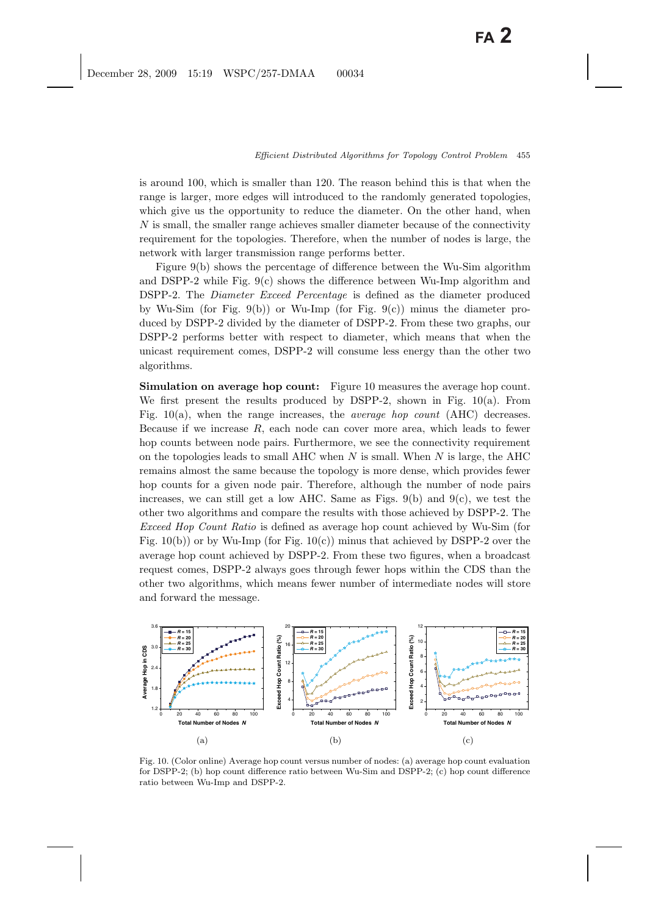is around 100, which is smaller than 120. The reason behind this is that when the range is larger, more edges will introduced to the randomly generated topologies, which give us the opportunity to reduce the diameter. On the other hand, when  $N$  is small, the smaller range achieves smaller diameter because of the connectivity requirement for the topologies. Therefore, when the number of nodes is large, the network with larger transmission range performs better.

Figure 9(b) shows the percentage of difference between the Wu-Sim algorithm and DSPP-2 while Fig.  $9(c)$  shows the difference between Wu-Imp algorithm and DSPP-2. The *Diameter Exceed Percentage* is defined as the diameter produced by Wu-Sim (for Fig. 9(b)) or Wu-Imp (for Fig. 9(c)) minus the diameter produced by DSPP-2 divided by the diameter of DSPP-2. From these two graphs, our DSPP-2 performs better with respect to diameter, which means that when the unicast requirement comes, DSPP-2 will consume less energy than the other two algorithms.

**Simulation on average hop count:** Figure 10 measures the average hop count. We first present the results produced by DSPP-2, shown in Fig.  $10(a)$ . From Fig. 10(a), when the range increases, the *average hop count* (AHC) decreases. Because if we increase  $R$ , each node can cover more area, which leads to fewer hop counts between node pairs. Furthermore, we see the connectivity requirement on the topologies leads to small AHC when  $N$  is small. When  $N$  is large, the AHC remains almost the same because the topology is more dense, which provides fewer hop counts for a given node pair. Therefore, although the number of node pairs increases, we can still get a low AHC. Same as Figs.  $9(b)$  and  $9(c)$ , we test the other two algorithms and compare the results with those achieved by DSPP-2. The *Exceed Hop Count Ratio* is defined as average hop count achieved by Wu-Sim (for Fig.  $10(b)$ ) or by Wu-Imp (for Fig.  $10(c)$ ) minus that achieved by DSPP-2 over the average hop count achieved by DSPP-2. From these two figures, when a broadcast request comes, DSPP-2 always goes through fewer hops within the CDS than the other two algorithms, which means fewer number of intermediate nodes will store and forward the message.



Fig. 10. (Color online) Average hop count versus number of nodes: (a) average hop count evaluation for DSPP-2; (b) hop count difference ratio between Wu-Sim and DSPP-2; (c) hop count difference ratio between Wu-Imp and DSPP-2.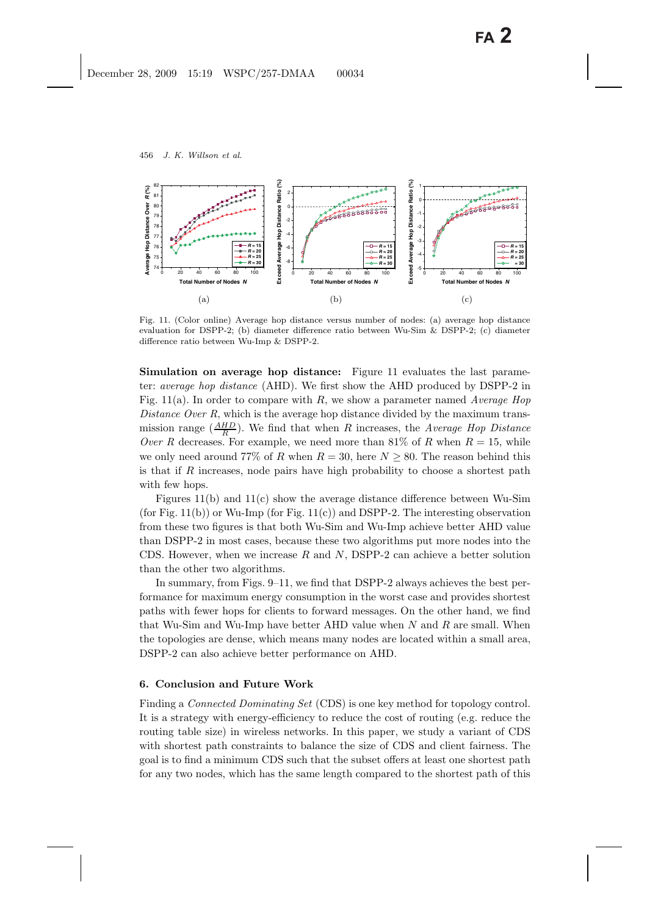

Fig. 11. (Color online) Average hop distance versus number of nodes: (a) average hop distance evaluation for DSPP-2; (b) diameter difference ratio between Wu-Sim & DSPP-2; (c) diameter difference ratio between Wu-Imp & DSPP-2.

**Simulation on average hop distance:** Figure 11 evaluates the last parameter: *average hop distance* (AHD). We first show the AHD produced by DSPP-2 in Fig. 11(a). In order to compare with R, we show a parameter named *Average Hop Distance Over R*, which is the average hop distance divided by the maximum transmission range  $\left(\frac{AHD}{R}\right)$ . We find that when R increases, the *Average Hop Distance Over R* decreases. For example, we need more than 81% of R when  $R = 15$ , while we only need around 77% of R when  $R = 30$ , here  $N \geq 80$ . The reason behind this is that if  $R$  increases, node pairs have high probability to choose a shortest path with few hops.

Figures  $11(b)$  and  $11(c)$  show the average distance difference between Wu-Sim (for Fig. 11(b)) or Wu-Imp (for Fig.  $11(c)$ ) and DSPP-2. The interesting observation from these two figures is that both Wu-Sim and Wu-Imp achieve better AHD value than DSPP-2 in most cases, because these two algorithms put more nodes into the CDS. However, when we increase  $R$  and  $N$ , DSPP-2 can achieve a better solution than the other two algorithms.

In summary, from Figs. 9–11, we find that DSPP-2 always achieves the best performance for maximum energy consumption in the worst case and provides shortest paths with fewer hops for clients to forward messages. On the other hand, we find that Wu-Sim and Wu-Imp have better AHD value when  $N$  and  $R$  are small. When the topologies are dense, which means many nodes are located within a small area, DSPP-2 can also achieve better performance on AHD.

### **6. Conclusion and Future Work**

Finding a *Connected Dominating Set* (CDS) is one key method for topology control. It is a strategy with energy-efficiency to reduce the cost of routing (e.g. reduce the routing table size) in wireless networks. In this paper, we study a variant of CDS with shortest path constraints to balance the size of CDS and client fairness. The goal is to find a minimum CDS such that the subset offers at least one shortest path for any two nodes, which has the same length compared to the shortest path of this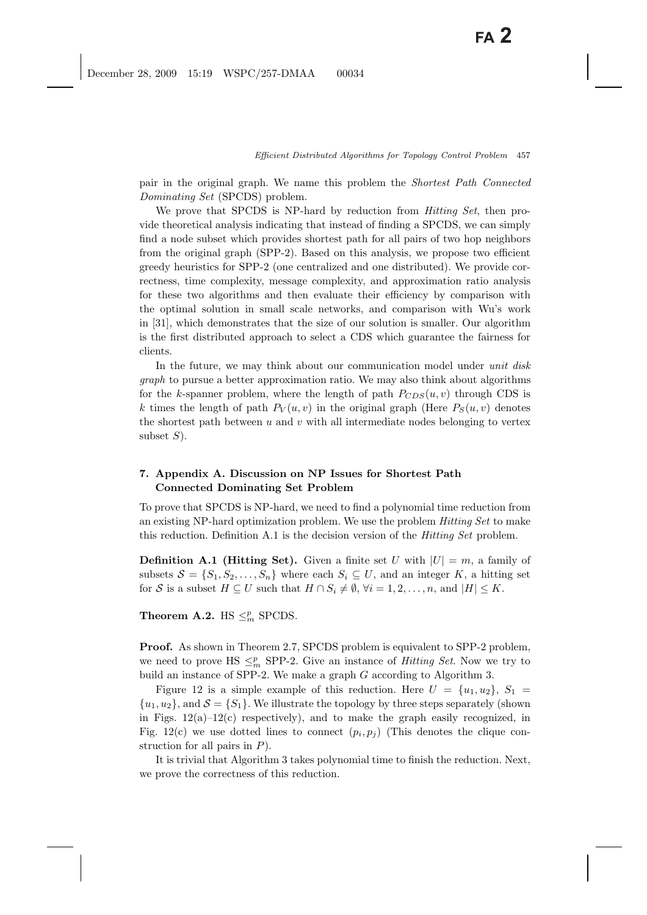pair in the original graph. We name this problem the *Shortest Path Connected Dominating Set* (SPCDS) problem.

We prove that SPCDS is NP-hard by reduction from *Hitting Set*, then provide theoretical analysis indicating that instead of finding a SPCDS, we can simply find a node subset which provides shortest path for all pairs of two hop neighbors from the original graph (SPP-2). Based on this analysis, we propose two efficient greedy heuristics for SPP-2 (one centralized and one distributed). We provide correctness, time complexity, message complexity, and approximation ratio analysis for these two algorithms and then evaluate their efficiency by comparison with the optimal solution in small scale networks, and comparison with Wu's work in [31], which demonstrates that the size of our solution is smaller. Our algorithm is the first distributed approach to select a CDS which guarantee the fairness for clients.

In the future, we may think about our communication model under *unit disk graph* to pursue a better approximation ratio. We may also think about algorithms for the k-spanner problem, where the length of path  $P_{CDS}(u, v)$  through CDS is k times the length of path  $P_V(u, v)$  in the original graph (Here  $P_S(u, v)$ ) denotes the shortest path between  $u$  and  $v$  with all intermediate nodes belonging to vertex subset  $S$ ).

## **7. Appendix A. Discussion on NP Issues for Shortest Path Connected Dominating Set Problem**

To prove that SPCDS is NP-hard, we need to find a polynomial time reduction from an existing NP-hard optimization problem. We use the problem *Hitting Set* to make this reduction. Definition A.1 is the decision version of the *Hitting Set* problem.

**Definition A.1 (Hitting Set).** Given a finite set U with  $|U| = m$ , a family of subsets  $S = \{S_1, S_2, \ldots, S_n\}$  where each  $S_i \subseteq U$ , and an integer K, a hitting set for S is a subset  $H \subseteq U$  such that  $H \cap S_i \neq \emptyset$ ,  $\forall i = 1, 2, ..., n$ , and  $|H| \leq K$ .

**Theorem A.2.** HS  $\leq^p_m$  SPCDS.

**Proof.** As shown in Theorem 2.7, SPCDS problem is equivalent to SPP-2 problem, we need to prove HS  $\leq^p_m$  SPP-2. Give an instance of *Hitting Set*. Now we try to build an instance of SPP-2. We make a graph  $G$  according to Algorithm 3.

Figure 12 is a simple example of this reduction. Here  $U = \{u_1, u_2\}, S_1 =$  $\{u_1, u_2\}$ , and  $\mathcal{S} = \{S_1\}$ . We illustrate the topology by three steps separately (shown in Figs.  $12(a)-12(c)$  respectively), and to make the graph easily recognized, in Fig. 12(c) we use dotted lines to connect  $(p_i, p_j)$  (This denotes the clique construction for all pairs in  $P$ ).

It is trivial that Algorithm 3 takes polynomial time to finish the reduction. Next, we prove the correctness of this reduction.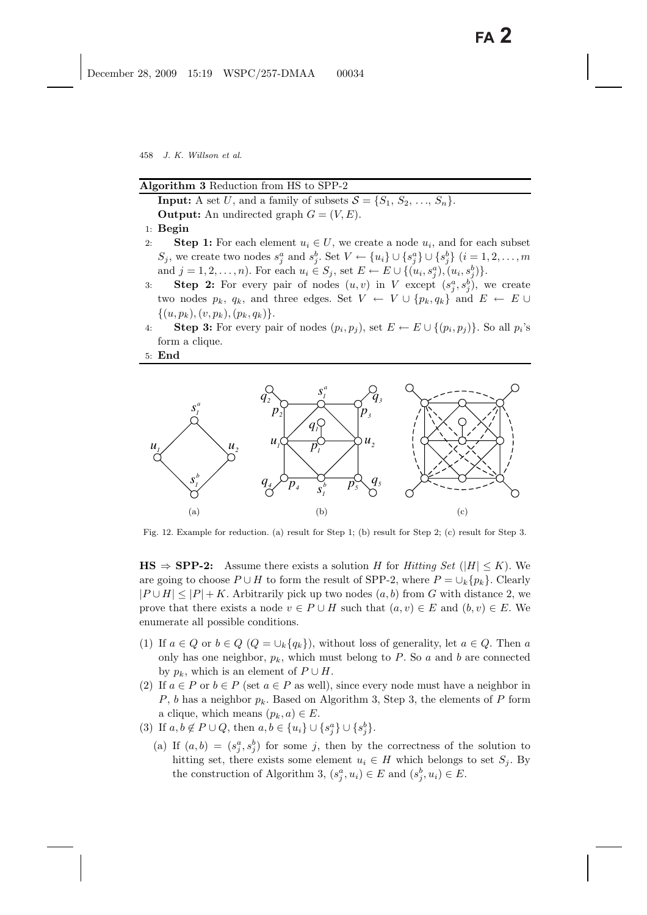#### **Algorithm 3** Reduction from HS to SPP-2

**Input:** A set U, and a family of subsets  $S = \{S_1, S_2, \ldots, S_n\}.$ **Output:** An undirected graph  $G = (V, E)$ .

- 1: **Begin**
- 2: **Step 1:** For each element  $u_i \in U$ , we create a node  $u_i$ , and for each subset S<sub>j</sub>, we create two nodes  $s_j^a$  and  $s_j^b$ . Set  $V \leftarrow \{u_i\} \cup \{s_j^a\} \cup \{s_j^b\}$   $(i = 1, 2, ..., m$ and  $j = 1, 2, ..., n$ ). For each  $u_i \in S_j$ , set  $E \leftarrow E \cup \{ (u_i, s_j^a), (u_i, s_j^b) \}.$
- 3: **Step 2:** For every pair of nodes  $(u, v)$  in V except  $(s_j^a, s_j^b)$ , we create two nodes  $p_k$ ,  $q_k$ , and three edges. Set  $V \leftarrow V \cup \{p_k, q_k\}$  and  $E \leftarrow E \cup$  $\{(u, p_k), (v, p_k), (p_k, q_k)\}.$
- 4: **Step 3:** For every pair of nodes  $(p_i, p_j)$ , set  $E \leftarrow E \cup \{(p_i, p_j)\}$ . So all  $p_i$ 's form a clique.
- 5: **End**



Fig. 12. Example for reduction. (a) result for Step 1; (b) result for Step 2; (c) result for Step 3.

 $\textbf{H}\textbf{S} \Rightarrow \textbf{SPP-2:}$  Assume there exists a solution H for Hitting Set  $(|H| \leq K)$ . We are going to choose  $P \cup H$  to form the result of SPP-2, where  $P = \cup_k \{p_k\}$ . Clearly  $|P \cup H| \leq |P| + K$ . Arbitrarily pick up two nodes  $(a, b)$  from G with distance 2, we prove that there exists a node  $v \in P \cup H$  such that  $(a, v) \in E$  and  $(b, v) \in E$ . We enumerate all possible conditions.

- (1) If  $a \in Q$  or  $b \in Q$  ( $Q = \bigcup_k \{q_k\}$ ), without loss of generality, let  $a \in Q$ . Then a only has one neighbor,  $p_k$ , which must belong to  $P$ . So  $a$  and  $b$  are connected by  $p_k$ , which is an element of  $P \cup H$ .
- (2) If  $a \in P$  or  $b \in P$  (set  $a \in P$  as well), since every node must have a neighbor in  $P$ ,  $b$  has a neighbor  $p_k$ . Based on Algorithm 3, Step 3, the elements of  $P$  form a clique, which means  $(p_k, a) \in E$ .
- (3) If  $a, b \notin P \cup Q$ , then  $a, b \in \{u_i\} \cup \{s_j^a\} \cup \{s_j^b\}.$ 
	- (a) If  $(a, b) = (s_j^a, s_j^b)$  for some j, then by the correctness of the solution to hitting set, there exists some element  $u_i \in H$  which belongs to set  $S_j$ . By the construction of Algorithm 3,  $(s_j^a, u_i) \in E$  and  $(s_j^b, u_i) \in E$ .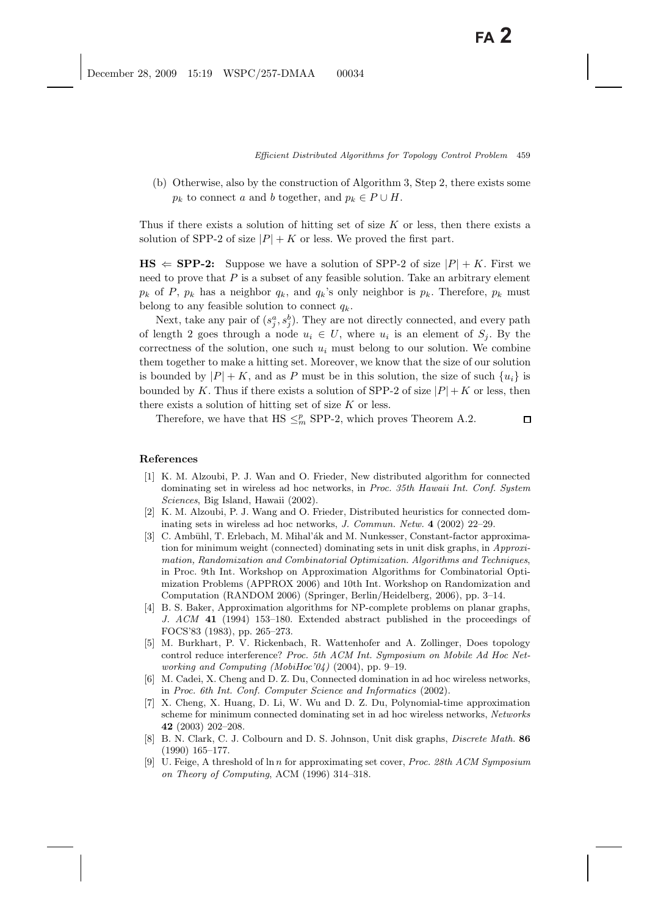(b) Otherwise, also by the construction of Algorithm 3, Step 2, there exists some  $p_k$  to connect a and b together, and  $p_k \in P \cup H$ .

Thus if there exists a solution of hitting set of size  $K$  or less, then there exists a solution of SPP-2 of size  $|P| + K$  or less. We proved the first part.

 $\textbf{H}\textbf{S} \Leftarrow \textbf{SPP-2:}$  Suppose we have a solution of SPP-2 of size  $|P| + K$ . First we need to prove that  $P$  is a subset of any feasible solution. Take an arbitrary element  $p_k$  of P,  $p_k$  has a neighbor  $q_k$ , and  $q_k$ 's only neighbor is  $p_k$ . Therefore,  $p_k$  must belong to any feasible solution to connect  $q_k$ .

Next, take any pair of  $(s_j^a, s_j^b)$ . They are not directly connected, and every path of length 2 goes through a node  $u_i \in U$ , where  $u_i$  is an element of  $S_i$ . By the correctness of the solution, one such  $u_i$  must belong to our solution. We combine them together to make a hitting set. Moreover, we know that the size of our solution is bounded by  $|P| + K$ , and as P must be in this solution, the size of such  $\{u_i\}$  is bounded by K. Thus if there exists a solution of SPP-2 of size  $|P|+K$  or less, then there exists a solution of hitting set of size  $K$  or less.

Therefore, we have that HS  $\leq^p_m$  SPP-2, which proves Theorem A.2.  $\Box$ 

## **References**

- [1] K. M. Alzoubi, P. J. Wan and O. Frieder, New distributed algorithm for connected dominating set in wireless ad hoc networks, in *Proc. 35th Hawaii Int. Conf. System Sciences*, Big Island, Hawaii (2002).
- [2] K. M. Alzoubi, P. J. Wang and O. Frieder, Distributed heuristics for connected dominating sets in wireless ad hoc networks, *J. Commun. Netw.* **4** (2002) 22–29.
- [3] C. Ambühl, T. Erlebach, M. Mihal'ák and M. Nunkesser, Constant-factor approximation for minimum weight (connected) dominating sets in unit disk graphs, in *Approximation, Randomization and Combinatorial Optimization. Algorithms and Techniques*, in Proc. 9th Int. Workshop on Approximation Algorithms for Combinatorial Optimization Problems (APPROX 2006) and 10th Int. Workshop on Randomization and Computation (RANDOM 2006) (Springer, Berlin/Heidelberg, 2006), pp. 3–14.
- [4] B. S. Baker, Approximation algorithms for NP-complete problems on planar graphs, *J. ACM* **41** (1994) 153–180. Extended abstract published in the proceedings of FOCS'83 (1983), pp. 265–273.
- [5] M. Burkhart, P. V. Rickenbach, R. Wattenhofer and A. Zollinger, Does topology control reduce interference? *Proc. 5th ACM Int. Symposium on Mobile Ad Hoc Networking and Computing (MobiHoc'04)* (2004), pp. 9–19.
- [6] M. Cadei, X. Cheng and D. Z. Du, Connected domination in ad hoc wireless networks, in *Proc. 6th Int. Conf. Computer Science and Informatics* (2002).
- [7] X. Cheng, X. Huang, D. Li, W. Wu and D. Z. Du, Polynomial-time approximation scheme for minimum connected dominating set in ad hoc wireless networks, *Networks* **42** (2003) 202–208.
- [8] B. N. Clark, C. J. Colbourn and D. S. Johnson, Unit disk graphs, *Discrete Math.* **86** (1990) 165–177.
- [9] U. Feige, A threshold of ln n for approximating set cover, *Proc. 28th ACM Symposium on Theory of Computing*, ACM (1996) 314–318.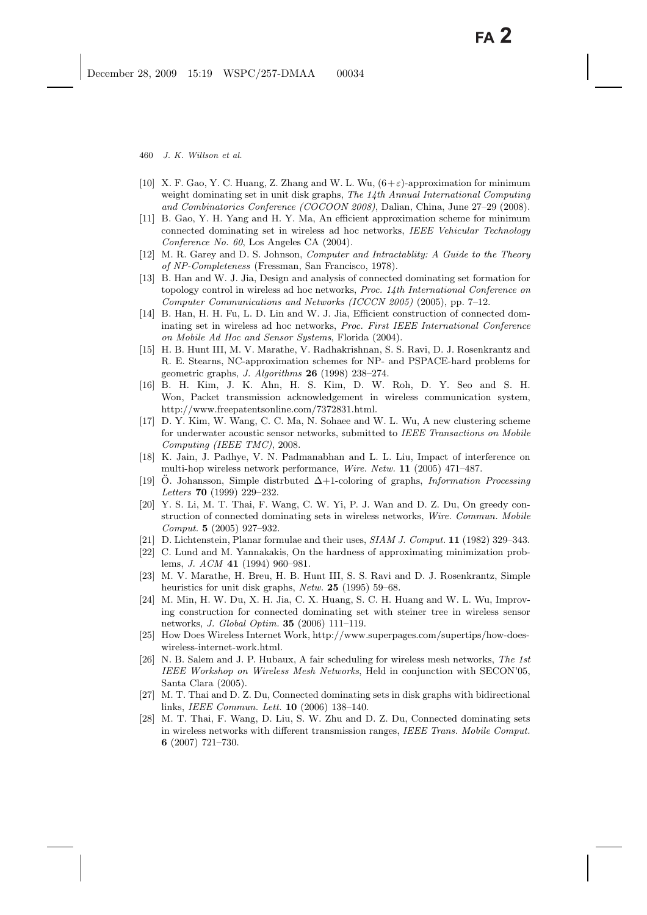- [10] X. F. Gao, Y. C. Huang, Z. Zhang and W. L. Wu,  $(6+\varepsilon)$ -approximation for minimum weight dominating set in unit disk graphs, *The 14th Annual International Computing and Combinatorics Conference (COCOON 2008)*, Dalian, China, June 27–29 (2008).
- [11] B. Gao, Y. H. Yang and H. Y. Ma, An efficient approximation scheme for minimum connected dominating set in wireless ad hoc networks, *IEEE Vehicular Technology Conference No. 60*, Los Angeles CA (2004).
- [12] M. R. Garey and D. S. Johnson, *Computer and Intractablity: A Guide to the Theory of NP-Completeness* (Fressman, San Francisco, 1978).
- [13] B. Han and W. J. Jia, Design and analysis of connected dominating set formation for topology control in wireless ad hoc networks, *Proc. 14th International Conference on Computer Communications and Networks (ICCCN 2005)* (2005), pp. 7–12.
- [14] B. Han, H. H. Fu, L. D. Lin and W. J. Jia, Efficient construction of connected dominating set in wireless ad hoc networks, *Proc. First IEEE International Conference on Mobile Ad Hoc and Sensor Systems*, Florida (2004).
- [15] H. B. Hunt III, M. V. Marathe, V. Radhakrishnan, S. S. Ravi, D. J. Rosenkrantz and R. E. Stearns, NC-approximation schemes for NP- and PSPACE-hard problems for geometric graphs, *J. Algorithms* **26** (1998) 238–274.
- [16] B. H. Kim, J. K. Ahn, H. S. Kim, D. W. Roh, D. Y. Seo and S. H. Won, Packet transmission acknowledgement in wireless communication system, http://www.freepatentsonline.com/7372831.html.
- [17] D. Y. Kim, W. Wang, C. C. Ma, N. Sohaee and W. L. Wu, A new clustering scheme for underwater acoustic sensor networks, submitted to *IEEE Transactions on Mobile Computing (IEEE TMC)*, 2008.
- [18] K. Jain, J. Padhye, V. N. Padmanabhan and L. L. Liu, Impact of interference on multi-hop wireless network performance, *Wire. Netw.* **11** (2005) 471–487.
- [19] O. Johansson, Simple distrbuted ∆+1-coloring of graphs, ¨ *Information Processing Letters* **70** (1999) 229–232.
- [20] Y. S. Li, M. T. Thai, F. Wang, C. W. Yi, P. J. Wan and D. Z. Du, On greedy construction of connected dominating sets in wireless networks, *Wire. Commun. Mobile Comput.* **5** (2005) 927–932.
- [21] D. Lichtenstein, Planar formulae and their uses, *SIAM J. Comput.* **11** (1982) 329–343.
- [22] C. Lund and M. Yannakakis, On the hardness of approximating minimization problems, *J. ACM* **41** (1994) 960–981.
- [23] M. V. Marathe, H. Breu, H. B. Hunt III, S. S. Ravi and D. J. Rosenkrantz, Simple heuristics for unit disk graphs, *Netw.* **25** (1995) 59–68.
- [24] M. Min, H. W. Du, X. H. Jia, C. X. Huang, S. C. H. Huang and W. L. Wu, Improving construction for connected dominating set with steiner tree in wireless sensor networks, *J. Global Optim.* **35** (2006) 111–119.
- [25] How Does Wireless Internet Work, http://www.superpages.com/supertips/how-doeswireless-internet-work.html.
- [26] N. B. Salem and J. P. Hubaux, A fair scheduling for wireless mesh networks, *The 1st IEEE Workshop on Wireless Mesh Networks*, Held in conjunction with SECON'05, Santa Clara (2005).
- [27] M. T. Thai and D. Z. Du, Connected dominating sets in disk graphs with bidirectional links, *IEEE Commun. Lett.* **10** (2006) 138–140.
- [28] M. T. Thai, F. Wang, D. Liu, S. W. Zhu and D. Z. Du, Connected dominating sets in wireless networks with different transmission ranges, *IEEE Trans. Mobile Comput.* **6** (2007) 721–730.